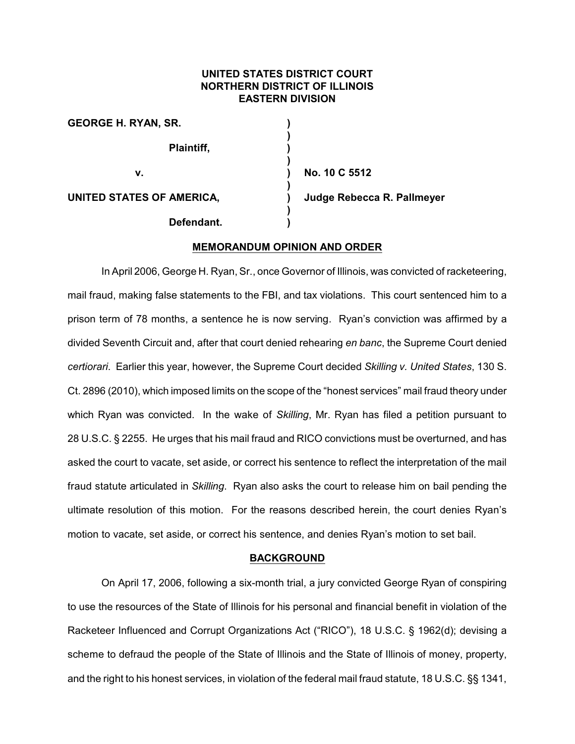# **UNITED STATES DISTRICT COURT NORTHERN DISTRICT OF ILLINOIS EASTERN DIVISION**

| <b>GEORGE H. RYAN, SR.</b> |                            |
|----------------------------|----------------------------|
| Plaintiff,                 |                            |
| v.                         | No. 10 C 5512              |
| UNITED STATES OF AMERICA,  | Judge Rebecca R. Pallmeyer |
| Defendant.                 |                            |

## **MEMORANDUM OPINION AND ORDER**

In April 2006, George H. Ryan, Sr., once Governor of Illinois, was convicted of racketeering, mail fraud, making false statements to the FBI, and tax violations. This court sentenced him to a prison term of 78 months, a sentence he is now serving. Ryan's conviction was affirmed by a divided Seventh Circuit and, after that court denied rehearing *en banc*, the Supreme Court denied *certiorari*. Earlier this year, however, the Supreme Court decided *Skilling v. United States*, 130 S. Ct. 2896 (2010), which imposed limits on the scope of the "honest services" mail fraud theory under which Ryan was convicted. In the wake of *Skilling*, Mr. Ryan has filed a petition pursuant to 28 U.S.C. § 2255. He urges that his mail fraud and RICO convictions must be overturned, and has asked the court to vacate, set aside, or correct his sentence to reflect the interpretation of the mail fraud statute articulated in *Skilling*. Ryan also asks the court to release him on bail pending the ultimate resolution of this motion. For the reasons described herein, the court denies Ryan's motion to vacate, set aside, or correct his sentence, and denies Ryan's motion to set bail.

### **BACKGROUND**

On April 17, 2006, following a six-month trial, a jury convicted George Ryan of conspiring to use the resources of the State of Illinois for his personal and financial benefit in violation of the Racketeer Influenced and Corrupt Organizations Act ("RICO"), 18 U.S.C. § 1962(d); devising a scheme to defraud the people of the State of Illinois and the State of Illinois of money, property, and the right to his honest services, in violation of the federal mail fraud statute, 18 U.S.C. §§ 1341,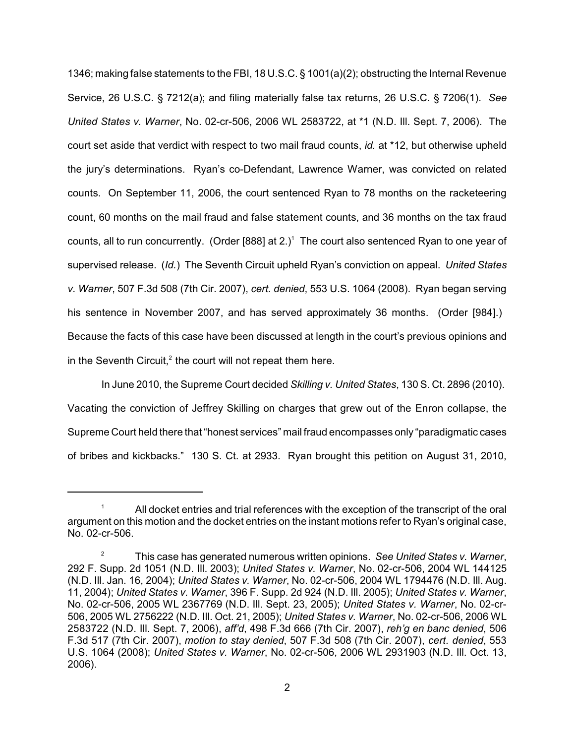1346; making false statements to the FBI, 18 U.S.C. § 1001(a)(2); obstructing the Internal Revenue Service, 26 U.S.C. § 7212(a); and filing materially false tax returns, 26 U.S.C. § 7206(1). *See United States v. Warner*, No. 02-cr-506, 2006 WL 2583722, at \*1 (N.D. Ill. Sept. 7, 2006). The court set aside that verdict with respect to two mail fraud counts, *id.* at \*12, but otherwise upheld the jury's determinations. Ryan's co-Defendant, Lawrence Warner, was convicted on related counts. On September 11, 2006, the court sentenced Ryan to 78 months on the racketeering count, 60 months on the mail fraud and false statement counts, and 36 months on the tax fraud counts, all to run concurrently. (Order  $[888]$  at 2.)<sup>1</sup> The court also sentenced Ryan to one year of supervised release. (*Id.*) The Seventh Circuit upheld Ryan's conviction on appeal. *United States v. Warner*, 507 F.3d 508 (7th Cir. 2007), *cert. denied*, 553 U.S. 1064 (2008). Ryan began serving his sentence in November 2007, and has served approximately 36 months. (Order [984].) Because the facts of this case have been discussed at length in the court's previous opinions and in the Seventh Circuit, $2$  the court will not repeat them here.

In June 2010, the Supreme Court decided *Skilling v. United States*, 130 S. Ct. 2896 (2010). Vacating the conviction of Jeffrey Skilling on charges that grew out of the Enron collapse, the Supreme Court held there that "honest services" mail fraud encompasses only "paradigmatic cases of bribes and kickbacks." 130 S. Ct. at 2933. Ryan brought this petition on August 31, 2010,

All docket entries and trial references with the exception of the transcript of the oral <sup>1</sup> argument on this motion and the docket entries on the instant motions refer to Ryan's original case, No. 02-cr-506.

This case has generated numerous written opinions. *See United States v. Warner*, 2 292 F. Supp. 2d 1051 (N.D. Ill. 2003); *United States v. Warner*, No. 02-cr-506, 2004 WL 144125 (N.D. Ill. Jan. 16, 2004); *United States v. Warner*, No. 02-cr-506, 2004 WL 1794476 (N.D. Ill. Aug. 11, 2004); *United States v. Warner*, 396 F. Supp. 2d 924 (N.D. Ill. 2005); *United States v. Warner*, No. 02-cr-506, 2005 WL 2367769 (N.D. Ill. Sept. 23, 2005); *United States v. Warner*, No. 02-cr-506, 2005 WL 2756222 (N.D. Ill. Oct. 21, 2005); *United States v. Warner*, No. 02-cr-506, 2006 WL 2583722 (N.D. Ill. Sept. 7, 2006), *aff'd*, 498 F.3d 666 (7th Cir. 2007), *reh'g en banc denied*, 506 F.3d 517 (7th Cir. 2007), *motion to stay denied*, 507 F.3d 508 (7th Cir. 2007), *cert. denied*, 553 U.S. 1064 (2008); *United States v. Warner*, No. 02-cr-506, 2006 WL 2931903 (N.D. Ill. Oct. 13, 2006).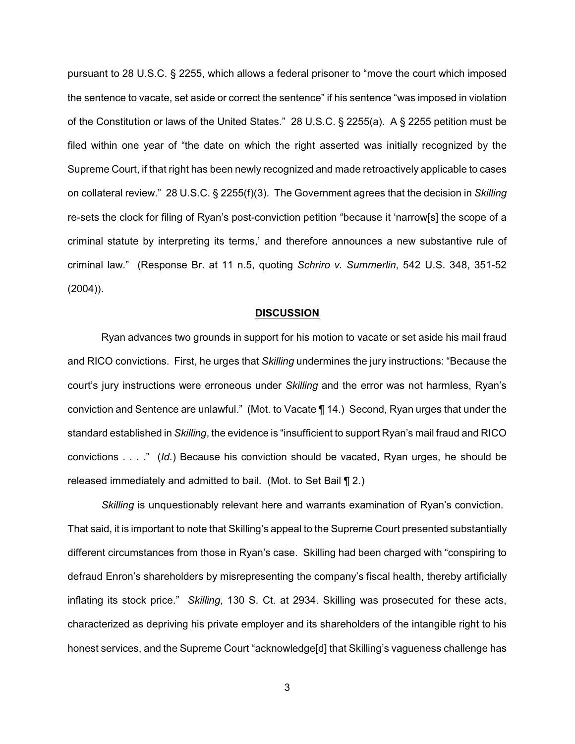pursuant to 28 U.S.C. § 2255, which allows a federal prisoner to "move the court which imposed the sentence to vacate, set aside or correct the sentence" if his sentence "was imposed in violation of the Constitution or laws of the United States." 28 U.S.C. § 2255(a). A § 2255 petition must be filed within one year of "the date on which the right asserted was initially recognized by the Supreme Court, if that right has been newly recognized and made retroactively applicable to cases on collateral review." 28 U.S.C. § 2255(f)(3). The Government agrees that the decision in *Skilling* re-sets the clock for filing of Ryan's post-conviction petition "because it 'narrow[s] the scope of a criminal statute by interpreting its terms,' and therefore announces a new substantive rule of criminal law." (Response Br. at 11 n.5, quoting *Schriro v. Summerlin*, 542 U.S. 348, 351-52 (2004)).

#### **DISCUSSION**

Ryan advances two grounds in support for his motion to vacate or set aside his mail fraud and RICO convictions. First, he urges that *Skilling* undermines the jury instructions: "Because the court's jury instructions were erroneous under *Skilling* and the error was not harmless, Ryan's conviction and Sentence are unlawful." (Mot. to Vacate ¶ 14.) Second, Ryan urges that under the standard established in *Skilling*, the evidence is "insufficient to support Ryan's mail fraud and RICO convictions . . . ." (*Id.*) Because his conviction should be vacated, Ryan urges, he should be released immediately and admitted to bail. (Mot. to Set Bail ¶ 2.)

*Skilling* is unquestionably relevant here and warrants examination of Ryan's conviction. That said, it is important to note that Skilling's appeal to the Supreme Court presented substantially different circumstances from those in Ryan's case. Skilling had been charged with "conspiring to defraud Enron's shareholders by misrepresenting the company's fiscal health, thereby artificially inflating its stock price." *Skilling*, 130 S. Ct. at 2934. Skilling was prosecuted for these acts, characterized as depriving his private employer and its shareholders of the intangible right to his honest services, and the Supreme Court "acknowledge[d] that Skilling's vagueness challenge has

3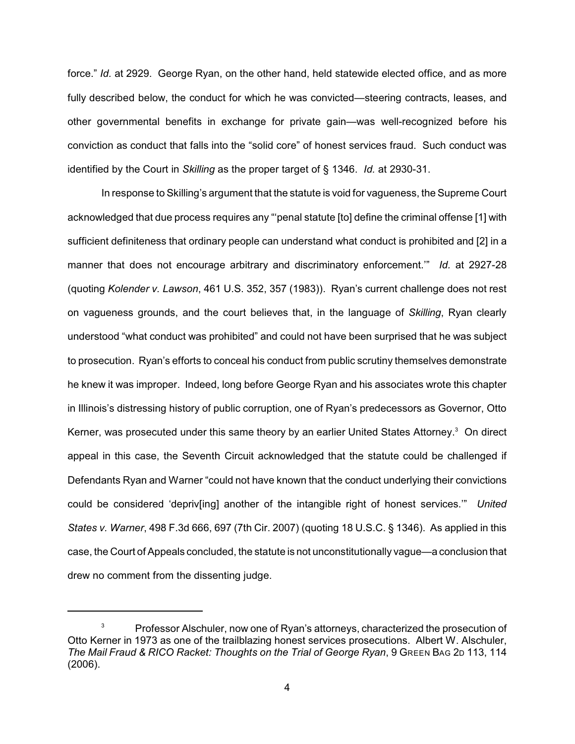force." *Id.* at 2929. George Ryan, on the other hand, held statewide elected office, and as more fully described below, the conduct for which he was convicted—steering contracts, leases, and other governmental benefits in exchange for private gain—was well-recognized before his conviction as conduct that falls into the "solid core" of honest services fraud. Such conduct was identified by the Court in *Skilling* as the proper target of § 1346. *Id.* at 2930-31.

In response to Skilling's argument that the statute is void for vagueness, the Supreme Court acknowledged that due process requires any "penal statute [to] define the criminal offense [1] with sufficient definiteness that ordinary people can understand what conduct is prohibited and [2] in a manner that does not encourage arbitrary and discriminatory enforcement.'" *Id.* at 2927-28 (quoting *Kolender v. Lawson*, 461 U.S. 352, 357 (1983)). Ryan's current challenge does not rest on vagueness grounds, and the court believes that, in the language of *Skilling*, Ryan clearly understood "what conduct was prohibited" and could not have been surprised that he was subject to prosecution. Ryan's efforts to conceal his conduct from public scrutiny themselves demonstrate he knew it was improper. Indeed, long before George Ryan and his associates wrote this chapter in Illinois's distressing history of public corruption, one of Ryan's predecessors as Governor, Otto Kerner, was prosecuted under this same theory by an earlier United States Attorney.<sup>3</sup> On direct appeal in this case, the Seventh Circuit acknowledged that the statute could be challenged if Defendants Ryan and Warner "could not have known that the conduct underlying their convictions could be considered 'depriv[ing] another of the intangible right of honest services.'" *United States v. Warner*, 498 F.3d 666, 697 (7th Cir. 2007) (quoting 18 U.S.C. § 1346). As applied in this case, the Court of Appeals concluded, the statute is not unconstitutionally vague—a conclusion that drew no comment from the dissenting judge.

 $3^3$  Professor Alschuler, now one of Ryan's attorneys, characterized the prosecution of Otto Kerner in 1973 as one of the trailblazing honest services prosecutions. Albert W. Alschuler, *The Mail Fraud & RICO Racket: Thoughts on the Trial of George Ryan*, 9 GREEN BAG 2D 113, 114 (2006).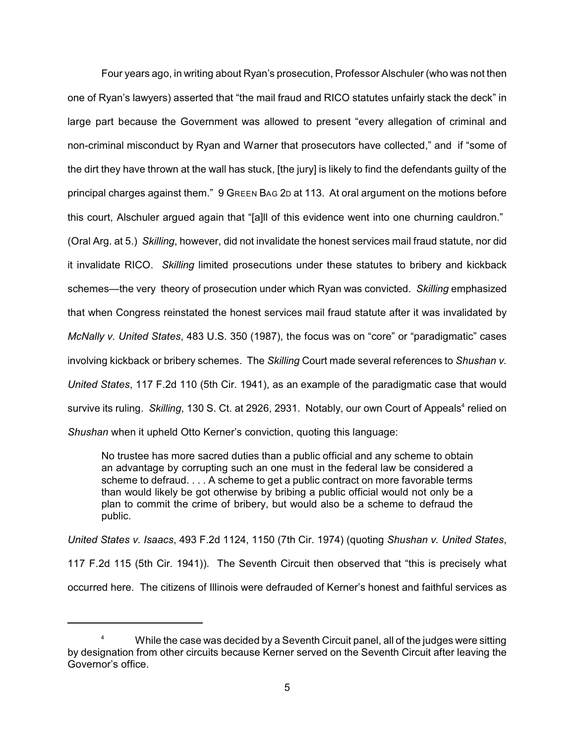Four years ago, in writing about Ryan's prosecution, Professor Alschuler (who was not then one of Ryan's lawyers) asserted that "the mail fraud and RICO statutes unfairly stack the deck" in large part because the Government was allowed to present "every allegation of criminal and non-criminal misconduct by Ryan and Warner that prosecutors have collected," and if "some of the dirt they have thrown at the wall has stuck, [the jury] is likely to find the defendants guilty of the principal charges against them." 9 GREEN BAG 2D at 113. At oral argument on the motions before this court, Alschuler argued again that "[a]ll of this evidence went into one churning cauldron."

(Oral Arg. at 5.) *Skilling*, however, did not invalidate the honest services mail fraud statute, nor did it invalidate RICO. *Skilling* limited prosecutions under these statutes to bribery and kickback schemes—the very theory of prosecution under which Ryan was convicted. *Skilling* emphasized that when Congress reinstated the honest services mail fraud statute after it was invalidated by *McNally v. United States*, 483 U.S. 350 (1987), the focus was on "core" or "paradigmatic" cases involving kickback or bribery schemes. The *Skilling* Court made several references to *Shushan v. United States*, 117 F.2d 110 (5th Cir. 1941), as an example of the paradigmatic case that would survive its ruling. *Skilling*, 130 S. Ct. at 2926, 2931. Notably, our own Court of Appeals<sup>4</sup> relied on *Shushan* when it upheld Otto Kerner's conviction, quoting this language:

No trustee has more sacred duties than a public official and any scheme to obtain an advantage by corrupting such an one must in the federal law be considered a scheme to defraud. . . . A scheme to get a public contract on more favorable terms than would likely be got otherwise by bribing a public official would not only be a plan to commit the crime of bribery, but would also be a scheme to defraud the public.

*United States v. Isaacs*, 493 F.2d 1124, 1150 (7th Cir. 1974) (quoting *Shushan v. United States*, 117 F.2d 115 (5th Cir. 1941)). The Seventh Circuit then observed that "this is precisely what occurred here. The citizens of Illinois were defrauded of Kerner's honest and faithful services as

While the case was decided by a Seventh Circuit panel, all of the judges were sitting <sup>4</sup> by designation from other circuits because Kerner served on the Seventh Circuit after leaving the Governor's office.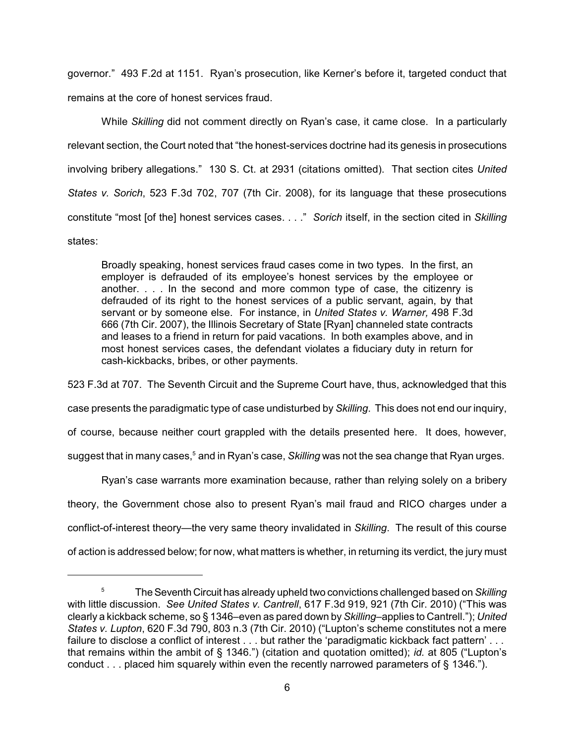governor." 493 F.2d at 1151. Ryan's prosecution, like Kerner's before it, targeted conduct that remains at the core of honest services fraud.

While *Skilling* did not comment directly on Ryan's case, it came close. In a particularly relevant section, the Court noted that "the honest-services doctrine had its genesis in prosecutions involving bribery allegations." 130 S. Ct. at 2931 (citations omitted). That section cites *United States v. Sorich*, 523 F.3d 702, 707 (7th Cir. 2008), for its language that these prosecutions constitute "most [of the] honest services cases. . . ." *Sorich* itself, in the section cited in *Skilling* states:

Broadly speaking, honest services fraud cases come in two types. In the first, an employer is defrauded of its employee's honest services by the employee or another. . . . In the second and more common type of case, the citizenry is defrauded of its right to the honest services of a public servant, again, by that servant or by someone else. For instance, in *United States v. Warner,* 498 F.3d 666 (7th Cir. 2007), the Illinois Secretary of State [Ryan] channeled state contracts and leases to a friend in return for paid vacations. In both examples above, and in most honest services cases, the defendant violates a fiduciary duty in return for cash-kickbacks, bribes, or other payments.

523 F.3d at 707. The Seventh Circuit and the Supreme Court have, thus, acknowledged that this case presents the paradigmatic type of case undisturbed by *Skilling*. This does not end our inquiry, of course, because neither court grappled with the details presented here. It does, however, suggest that in many cases,<sup>5</sup> and in Ryan's case, *Skilling* was not the sea change that Ryan urges.

Ryan's case warrants more examination because, rather than relying solely on a bribery theory, the Government chose also to present Ryan's mail fraud and RICO charges under a conflict-of-interest theory—the very same theory invalidated in *Skilling*. The result of this course of action is addressed below; for now, what matters is whether, in returning its verdict, the jury must

TheSeventh Circuit has already upheld two convictions challenged based on *Skilling* 5 with little discussion. *See United States v. Cantrell*, 617 F.3d 919, 921 (7th Cir. 2010) ("This was clearly a kickback scheme, so § 1346–even as pared down by *Skilling*–applies to Cantrell."); *United States v. Lupton*, 620 F.3d 790, 803 n.3 (7th Cir. 2010) ("Lupton's scheme constitutes not a mere failure to disclose a conflict of interest . . . but rather the 'paradigmatic kickback fact pattern' . . . that remains within the ambit of § 1346.") (citation and quotation omitted); *id.* at 805 ("Lupton's conduct . . . placed him squarely within even the recently narrowed parameters of § 1346.").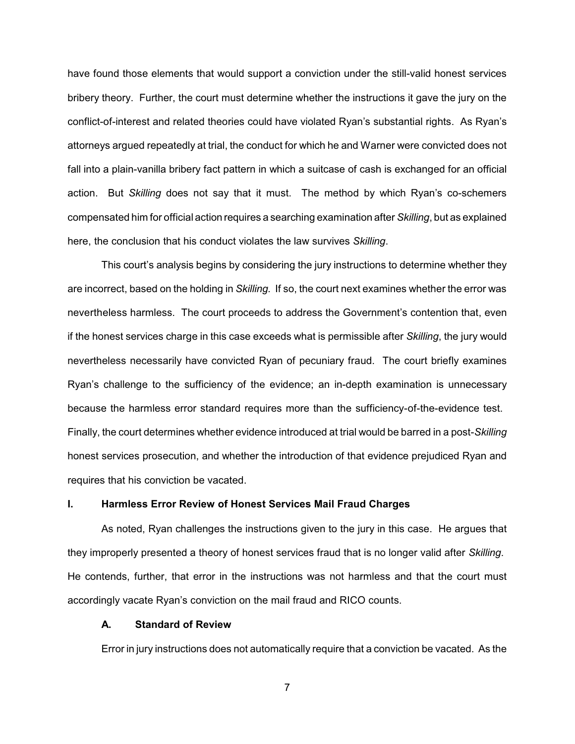have found those elements that would support a conviction under the still-valid honest services bribery theory. Further, the court must determine whether the instructions it gave the jury on the conflict-of-interest and related theories could have violated Ryan's substantial rights. As Ryan's attorneys argued repeatedly at trial, the conduct for which he and Warner were convicted does not fall into a plain-vanilla bribery fact pattern in which a suitcase of cash is exchanged for an official action. But *Skilling* does not say that it must. The method by which Ryan's co-schemers compensated him for official action requires a searching examination after *Skilling*, but as explained here, the conclusion that his conduct violates the law survives *Skilling*.

This court's analysis begins by considering the jury instructions to determine whether they are incorrect, based on the holding in *Skilling.* If so, the court next examines whether the error was nevertheless harmless. The court proceeds to address the Government's contention that, even if the honest services charge in this case exceeds what is permissible after *Skilling*, the jury would nevertheless necessarily have convicted Ryan of pecuniary fraud. The court briefly examines Ryan's challenge to the sufficiency of the evidence; an in-depth examination is unnecessary because the harmless error standard requires more than the sufficiency-of-the-evidence test. Finally, the court determines whether evidence introduced at trial would be barred in a post-*Skilling* honest services prosecution, and whether the introduction of that evidence prejudiced Ryan and requires that his conviction be vacated.

## **I. Harmless Error Review of Honest Services Mail Fraud Charges**

As noted, Ryan challenges the instructions given to the jury in this case. He argues that they improperly presented a theory of honest services fraud that is no longer valid after *Skilling*. He contends, further, that error in the instructions was not harmless and that the court must accordingly vacate Ryan's conviction on the mail fraud and RICO counts.

### **A. Standard of Review**

Error in jury instructions does not automatically require that a conviction be vacated. As the

7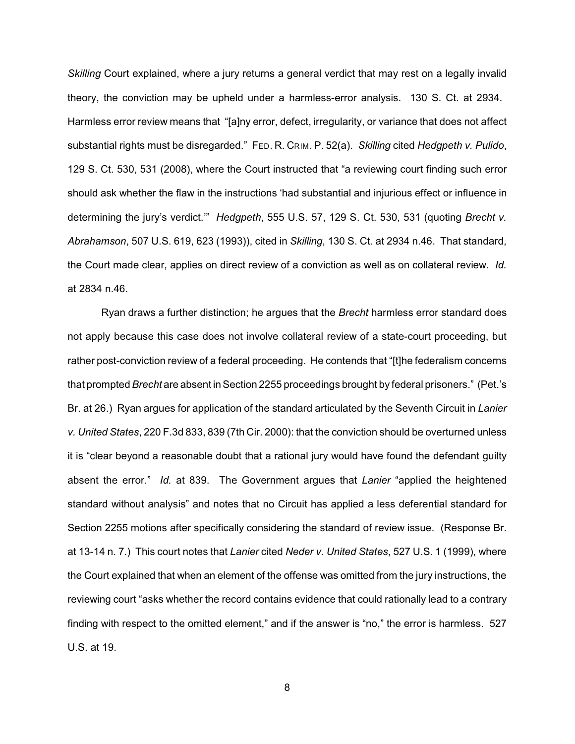*Skilling* Court explained, where a jury returns a general verdict that may rest on a legally invalid theory, the conviction may be upheld under a harmless-error analysis. 130 S. Ct. at 2934. Harmless error review means that "[a]ny error, defect, irregularity, or variance that does not affect substantial rights must be disregarded." FED. R. CRIM. P. 52(a). *Skilling* cited *Hedgpeth v. Pulido*, 129 S. Ct. 530, 531 (2008), where the Court instructed that "a reviewing court finding such error should ask whether the flaw in the instructions 'had substantial and injurious effect or influence in determining the jury's verdict.'" *Hedgpeth*, 555 U.S. 57, 129 S. Ct. 530, 531 (quoting *Brecht v. Abrahamson*, 507 U.S. 619, 623 (1993)), cited in *Skilling*, 130 S. Ct. at 2934 n.46. That standard, the Court made clear, applies on direct review of a conviction as well as on collateral review. *Id.* at 2834 n.46.

Ryan draws a further distinction; he argues that the *Brecht* harmless error standard does not apply because this case does not involve collateral review of a state-court proceeding, but rather post-conviction review of a federal proceeding. He contends that "[t]he federalism concerns that prompted *Brecht* are absent in Section 2255 proceedings brought by federal prisoners." (Pet.'s Br. at 26.) Ryan argues for application of the standard articulated by the Seventh Circuit in *Lanier v. United States*, 220 F.3d 833, 839 (7th Cir. 2000): that the conviction should be overturned unless it is "clear beyond a reasonable doubt that a rational jury would have found the defendant guilty absent the error." *Id.* at 839. The Government argues that *Lanier* "applied the heightened standard without analysis" and notes that no Circuit has applied a less deferential standard for Section 2255 motions after specifically considering the standard of review issue. (Response Br. at 13-14 n. 7.) This court notes that *Lanier* cited *Neder v. United States*, 527 U.S. 1 (1999), where the Court explained that when an element of the offense was omitted from the jury instructions, the reviewing court "asks whether the record contains evidence that could rationally lead to a contrary finding with respect to the omitted element," and if the answer is "no," the error is harmless. 527 U.S. at 19.

8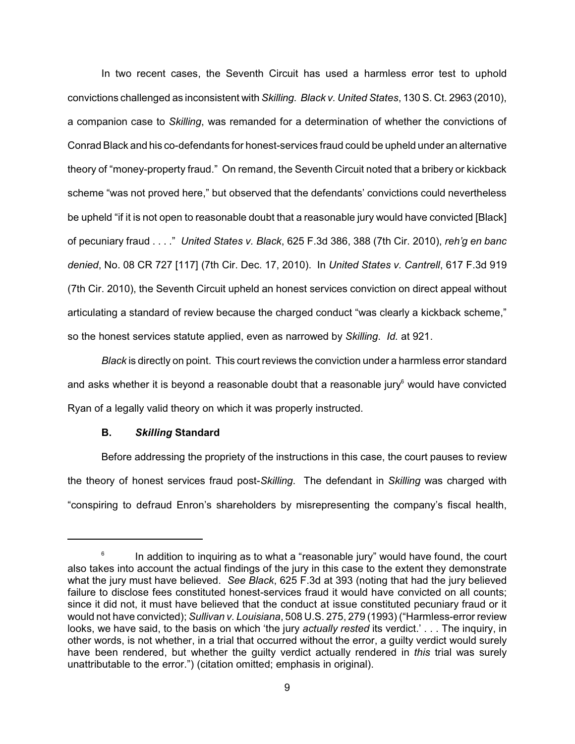In two recent cases, the Seventh Circuit has used a harmless error test to uphold convictions challenged as inconsistent with *Skilling. Black v. United States*, 130 S. Ct. 2963 (2010), a companion case to *Skilling*, was remanded for a determination of whether the convictions of Conrad Black and his co-defendants for honest-services fraud could be upheld under an alternative theory of "money-property fraud." On remand, the Seventh Circuit noted that a bribery or kickback scheme "was not proved here," but observed that the defendants' convictions could nevertheless be upheld "if it is not open to reasonable doubt that a reasonable jury would have convicted [Black] of pecuniary fraud . . . ." *United States v. Black*, 625 F.3d 386, 388 (7th Cir. 2010), *reh'g en banc denied*, No. 08 CR 727 [117] (7th Cir. Dec. 17, 2010). In *United States v. Cantrell*, 617 F.3d 919 (7th Cir. 2010), the Seventh Circuit upheld an honest services conviction on direct appeal without articulating a standard of review because the charged conduct "was clearly a kickback scheme," so the honest services statute applied, even as narrowed by *Skilling*. *Id.* at 921.

*Black* is directly on point. This court reviews the conviction under a harmless error standard and asks whether it is beyond a reasonable doubt that a reasonable jury would have convicted Ryan of a legally valid theory on which it was properly instructed.

#### **B.** *Skilling* **Standard**

Before addressing the propriety of the instructions in this case, the court pauses to review the theory of honest services fraud post-*Skilling*. The defendant in *Skilling* was charged with "conspiring to defraud Enron's shareholders by misrepresenting the company's fiscal health,

In addition to inquiring as to what a "reasonable jury" would have found, the court 6 also takes into account the actual findings of the jury in this case to the extent they demonstrate what the jury must have believed. *See Black*, 625 F.3d at 393 (noting that had the jury believed failure to disclose fees constituted honest-services fraud it would have convicted on all counts; since it did not, it must have believed that the conduct at issue constituted pecuniary fraud or it would not have convicted); *Sullivan v. Louisiana*, 508 U.S. 275, 279 (1993) ("Harmless-error review looks, we have said, to the basis on which 'the jury *actually rested* its verdict.' . . . The inquiry, in other words, is not whether, in a trial that occurred without the error, a guilty verdict would surely have been rendered, but whether the guilty verdict actually rendered in *this* trial was surely unattributable to the error.") (citation omitted; emphasis in original).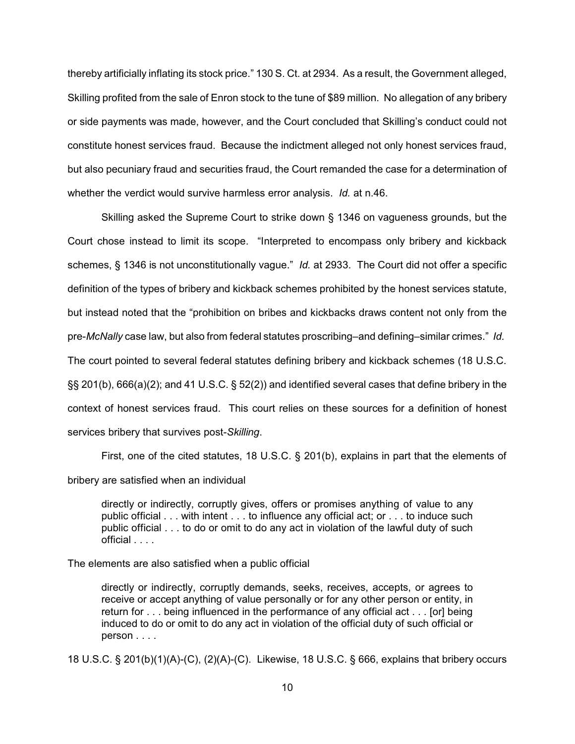thereby artificially inflating its stock price." 130 S. Ct. at 2934. As a result, the Government alleged, Skilling profited from the sale of Enron stock to the tune of \$89 million. No allegation of any bribery or side payments was made, however, and the Court concluded that Skilling's conduct could not constitute honest services fraud. Because the indictment alleged not only honest services fraud, but also pecuniary fraud and securities fraud, the Court remanded the case for a determination of whether the verdict would survive harmless error analysis. *Id.* at n.46.

Skilling asked the Supreme Court to strike down § 1346 on vagueness grounds, but the Court chose instead to limit its scope. "Interpreted to encompass only bribery and kickback schemes, § 1346 is not unconstitutionally vague." *Id.* at 2933. The Court did not offer a specific definition of the types of bribery and kickback schemes prohibited by the honest services statute, but instead noted that the "prohibition on bribes and kickbacks draws content not only from the pre-*McNally* case law, but also from federal statutes proscribing–and defining–similar crimes." *Id.* The court pointed to several federal statutes defining bribery and kickback schemes (18 U.S.C. §§ 201(b), 666(a)(2); and 41 U.S.C. § 52(2)) and identified several cases that define bribery in the context of honest services fraud. This court relies on these sources for a definition of honest services bribery that survives post-*Skilling*.

First, one of the cited statutes, 18 U.S.C. § 201(b), explains in part that the elements of

bribery are satisfied when an individual

directly or indirectly, corruptly gives, offers or promises anything of value to any public official . . . with intent . . . to influence any official act; or . . . to induce such public official . . . to do or omit to do any act in violation of the lawful duty of such official . . . .

The elements are also satisfied when a public official

directly or indirectly, corruptly demands, seeks, receives, accepts, or agrees to receive or accept anything of value personally or for any other person or entity, in return for . . . being influenced in the performance of any official act . . . [or] being induced to do or omit to do any act in violation of the official duty of such official or person . . . .

18 U.S.C. § 201(b)(1)(A)-(C), (2)(A)-(C). Likewise, 18 U.S.C. § 666, explains that bribery occurs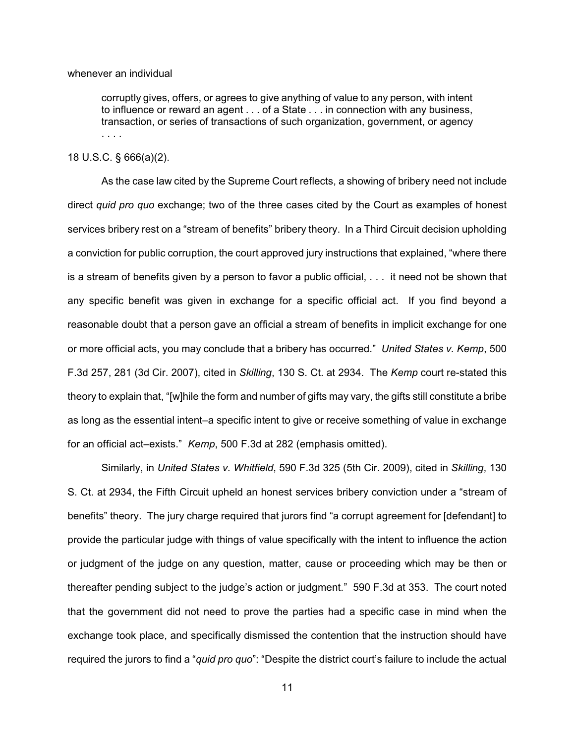#### whenever an individual

corruptly gives, offers, or agrees to give anything of value to any person, with intent to influence or reward an agent . . . of a State . . . in connection with any business, transaction, or series of transactions of such organization, government, or agency . . . .

### 18 U.S.C. § 666(a)(2).

As the case law cited by the Supreme Court reflects, a showing of bribery need not include direct *quid pro quo* exchange; two of the three cases cited by the Court as examples of honest services bribery rest on a "stream of benefits" bribery theory. In a Third Circuit decision upholding a conviction for public corruption, the court approved jury instructions that explained, "where there is a stream of benefits given by a person to favor a public official, . . . it need not be shown that any specific benefit was given in exchange for a specific official act. If you find beyond a reasonable doubt that a person gave an official a stream of benefits in implicit exchange for one or more official acts, you may conclude that a bribery has occurred." *United States v. Kemp*, 500 F.3d 257, 281 (3d Cir. 2007), cited in *Skilling*, 130 S. Ct. at 2934. The *Kemp* court re-stated this theory to explain that, "[w]hile the form and number of gifts may vary, the gifts still constitute a bribe as long as the essential intent–a specific intent to give or receive something of value in exchange for an official act–exists." *Kemp*, 500 F.3d at 282 (emphasis omitted).

Similarly, in *United States v. Whitfield*, 590 F.3d 325 (5th Cir. 2009), cited in *Skilling*, 130 S. Ct. at 2934, the Fifth Circuit upheld an honest services bribery conviction under a "stream of benefits" theory. The jury charge required that jurors find "a corrupt agreement for [defendant] to provide the particular judge with things of value specifically with the intent to influence the action or judgment of the judge on any question, matter, cause or proceeding which may be then or thereafter pending subject to the judge's action or judgment."590 F.3d at 353. The court noted that the government did not need to prove the parties had a specific case in mind when the exchange took place, and specifically dismissed the contention that the instruction should have required the jurors to find a "*quid pro quo*": "Despite the district court's failure to include the actual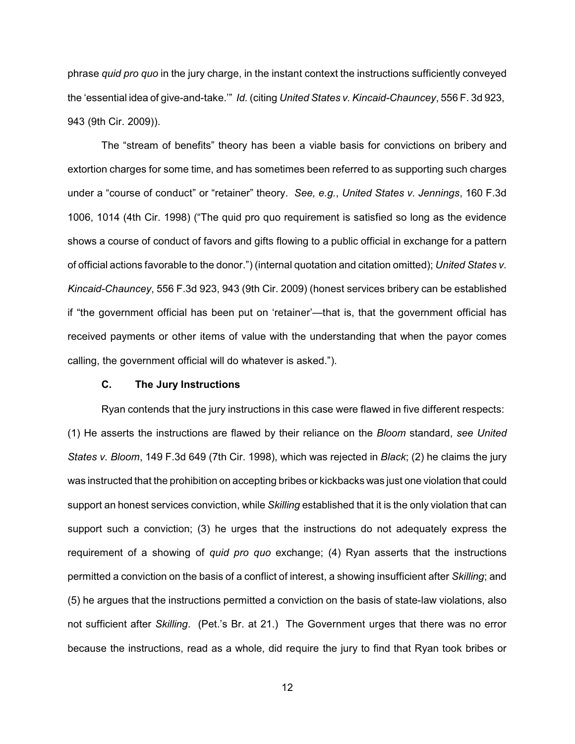phrase *quid pro quo* in the jury charge, in the instant context the instructions sufficiently conveyed the 'essential idea of give-and-take.'" *Id.* (citing *United States v. Kincaid-Chauncey*, 556 F. 3d 923, 943 (9th Cir. 2009)).

The "stream of benefits" theory has been a viable basis for convictions on bribery and extortion charges for some time, and has sometimes been referred to as supporting such charges under a "course of conduct" or "retainer" theory. *See, e.g.*, *United States v. Jennings*, 160 F.3d 1006, 1014 (4th Cir. 1998) ("The quid pro quo requirement is satisfied so long as the evidence shows a course of conduct of favors and gifts flowing to a public official in exchange for a pattern of official actions favorable to the donor.") (internal quotation and citation omitted); *United States v. Kincaid-Chauncey*, 556 F.3d 923, 943 (9th Cir. 2009) (honest services bribery can be established if "the government official has been put on 'retainer'—that is, that the government official has received payments or other items of value with the understanding that when the payor comes calling, the government official will do whatever is asked.").

# **C. The Jury Instructions**

Ryan contends that the jury instructions in this case were flawed in five different respects: (1) He asserts the instructions are flawed by their reliance on the *Bloom* standard, *see United States v. Bloom*, 149 F.3d 649 (7th Cir. 1998), which was rejected in *Black*; (2) he claims the jury was instructed that the prohibition on accepting bribes or kickbacks was just one violation that could support an honest services conviction, while *Skilling* established that it is the only violation that can support such a conviction; (3) he urges that the instructions do not adequately express the requirement of a showing of *quid pro quo* exchange; (4) Ryan asserts that the instructions permitted a conviction on the basis of a conflict of interest, a showing insufficient after *Skilling*; and (5) he argues that the instructions permitted a conviction on the basis of state-law violations, also not sufficient after *Skilling*. (Pet.'s Br. at 21.) The Government urges that there was no error because the instructions, read as a whole, did require the jury to find that Ryan took bribes or

12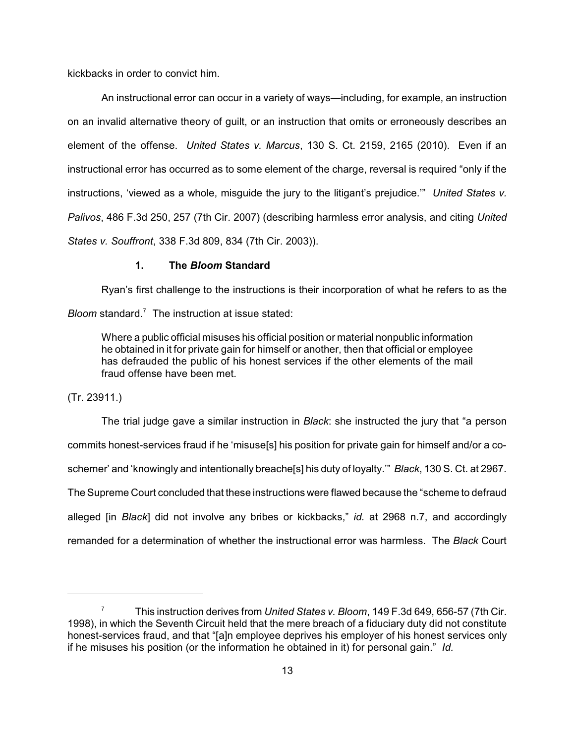kickbacks in order to convict him.

An instructional error can occur in a variety of ways—including, for example, an instruction on an invalid alternative theory of guilt, or an instruction that omits or erroneously describes an element of the offense. *United States v. Marcus*, 130 S. Ct. 2159, 2165 (2010). Even if an instructional error has occurred as to some element of the charge, reversal is required "only if the instructions, 'viewed as a whole, misguide the jury to the litigant's prejudice.'" *United States v. Palivos*, 486 F.3d 250, 257 (7th Cir. 2007) (describing harmless error analysis, and citing *United States v. Souffront*, 338 F.3d 809, 834 (7th Cir. 2003)).

## **1. The** *Bloom* **Standard**

Ryan's first challenge to the instructions is their incorporation of what he refers to as the

*Bloom* standard.<sup>7</sup> The instruction at issue stated:

Where a public official misuses his official position or material nonpublic information he obtained in it for private gain for himself or another, then that official or employee has defrauded the public of his honest services if the other elements of the mail fraud offense have been met.

# (Tr. 23911.)

The trial judge gave a similar instruction in *Black*: she instructed the jury that "a person commits honest-services fraud if he 'misuse[s] his position for private gain for himself and/or a coschemer' and 'knowingly and intentionally breache[s] his duty of loyalty.'" *Black*, 130 S. Ct. at 2967. The Supreme Court concluded that these instructions were flawed because the "scheme to defraud alleged [in *Black*] did not involve any bribes or kickbacks," *id.* at 2968 n.7, and accordingly remanded for a determination of whether the instructional error was harmless. The *Black* Court

This instruction derives from *United States v. Bloom*, 149 F.3d 649, 656-57 (7th Cir. <sup>7</sup> 1998), in which the Seventh Circuit held that the mere breach of a fiduciary duty did not constitute honest-services fraud, and that "[a]n employee deprives his employer of his honest services only if he misuses his position (or the information he obtained in it) for personal gain." *Id.*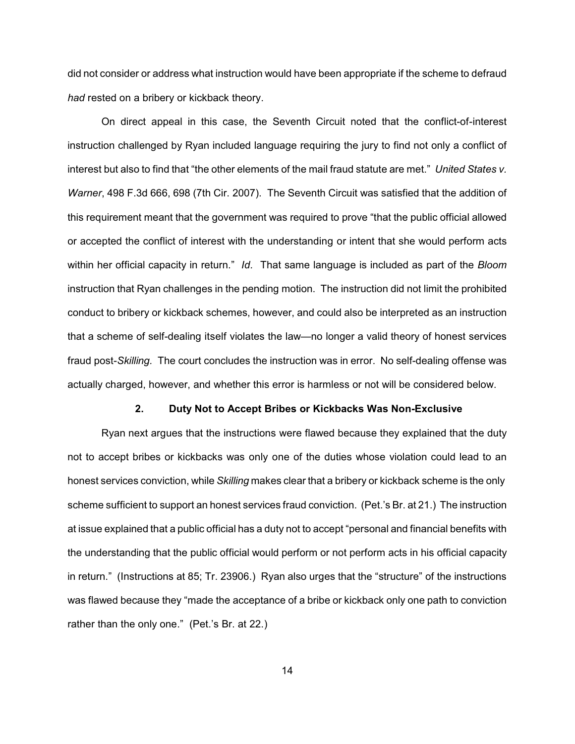did not consider or address what instruction would have been appropriate if the scheme to defraud *had* rested on a bribery or kickback theory.

On direct appeal in this case, the Seventh Circuit noted that the conflict-of-interest instruction challenged by Ryan included language requiring the jury to find not only a conflict of interest but also to find that "the other elements of the mail fraud statute are met." *United States v. Warner*, 498 F.3d 666, 698 (7th Cir. 2007). The Seventh Circuit was satisfied that the addition of this requirement meant that the government was required to prove "that the public official allowed or accepted the conflict of interest with the understanding or intent that she would perform acts within her official capacity in return." *Id.* That same language is included as part of the *Bloom* instruction that Ryan challenges in the pending motion. The instruction did not limit the prohibited conduct to bribery or kickback schemes, however, and could also be interpreted as an instruction that a scheme of self-dealing itself violates the law—no longer a valid theory of honest services fraud post-*Skilling.* The court concludes the instruction was in error. No self-dealing offense was actually charged, however, and whether this error is harmless or not will be considered below.

#### **2. Duty Not to Accept Bribes or Kickbacks Was Non-Exclusive**

Ryan next argues that the instructions were flawed because they explained that the duty not to accept bribes or kickbacks was only one of the duties whose violation could lead to an honest services conviction, while *Skilling* makes clear that a bribery or kickback scheme is the only scheme sufficient to support an honest services fraud conviction. (Pet.'s Br. at 21.) The instruction at issue explained that a public official has a duty not to accept "personal and financial benefits with the understanding that the public official would perform or not perform acts in his official capacity in return." (Instructions at 85; Tr. 23906.) Ryan also urges that the "structure" of the instructions was flawed because they "made the acceptance of a bribe or kickback only one path to conviction rather than the only one." (Pet.'s Br. at 22.)

14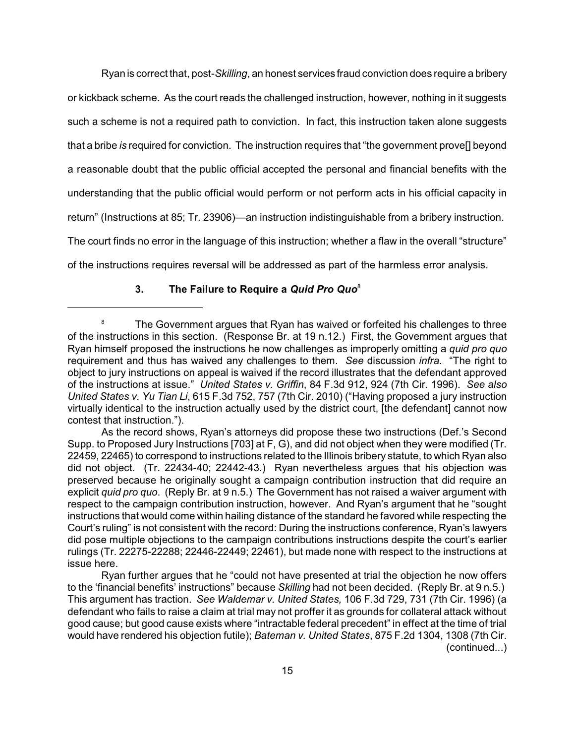Ryan is correct that, post-*Skilling*, an honest services fraud conviction does require a bribery or kickback scheme. As the court reads the challenged instruction, however, nothing in it suggests such a scheme is not a required path to conviction. In fact, this instruction taken alone suggests that a bribe *is* required for conviction. The instruction requires that "the government prove[] beyond a reasonable doubt that the public official accepted the personal and financial benefits with the understanding that the public official would perform or not perform acts in his official capacity in return" (Instructions at 85; Tr. 23906)—an instruction indistinguishable from a bribery instruction. The court finds no error in the language of this instruction; whether a flaw in the overall "structure" of the instructions requires reversal will be addressed as part of the harmless error analysis.

## **3. The Failure to Require a** *Quid Pro Quo* 8

<sup>&</sup>lt;sup>8</sup> The Government argues that Ryan has waived or forfeited his challenges to three of the instructions in this section. (Response Br. at 19 n.12.) First, the Government argues that Ryan himself proposed the instructions he now challenges as improperly omitting a *quid pro quo* requirement and thus has waived any challenges to them. *See* discussion *infra*. "The right to object to jury instructions on appeal is waived if the record illustrates that the defendant approved of the instructions at issue." *United States v. Griffin*, 84 F.3d 912, 924 (7th Cir. 1996). *See also United States v. Yu Tian Li*, 615 F.3d 752, 757 (7th Cir. 2010) ("Having proposed a jury instruction virtually identical to the instruction actually used by the district court, [the defendant] cannot now contest that instruction.").

As the record shows, Ryan's attorneys did propose these two instructions (Def.'s Second Supp. to Proposed Jury Instructions [703] at F, G), and did not object when they were modified (Tr. 22459, 22465) to correspond to instructions related to the Illinois bribery statute, to which Ryan also did not object. (Tr. 22434-40; 22442-43.) Ryan nevertheless argues that his objection was preserved because he originally sought a campaign contribution instruction that did require an explicit *quid pro quo*. (Reply Br. at 9 n.5.) The Government has not raised a waiver argument with respect to the campaign contribution instruction, however. And Ryan's argument that he "sought instructions that would come within hailing distance of the standard he favored while respecting the Court's ruling" is not consistent with the record: During the instructions conference, Ryan's lawyers did pose multiple objections to the campaign contributions instructions despite the court's earlier rulings (Tr. 22275-22288; 22446-22449; 22461), but made none with respect to the instructions at issue here.

Ryan further argues that he "could not have presented at trial the objection he now offers to the 'financial benefits' instructions" because *Skilling* had not been decided. (Reply Br. at 9 n.5.) This argument has traction. *See Waldemar v. United States,* 106 F.3d 729, 731 (7th Cir. 1996) (a defendant who fails to raise a claim at trial may not proffer it as grounds for collateral attack without good cause; but good cause exists where "intractable federal precedent" in effect at the time of trial would have rendered his objection futile); *Bateman v. United States*, 875 F.2d 1304, 1308 (7th Cir. (continued...)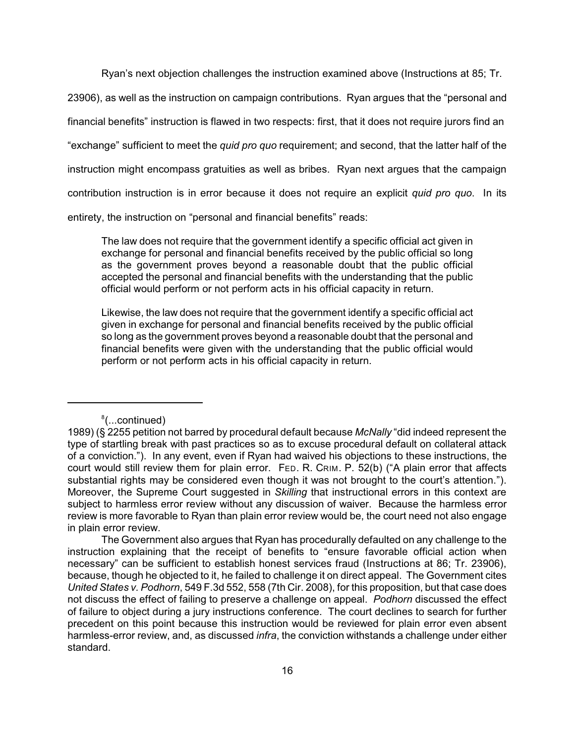Ryan's next objection challenges the instruction examined above (Instructions at 85; Tr.

23906), as well as the instruction on campaign contributions. Ryan argues that the "personal and financial benefits" instruction is flawed in two respects: first, that it does not require jurors find an "exchange" sufficient to meet the *quid pro quo* requirement; and second, that the latter half of the instruction might encompass gratuities as well as bribes. Ryan next argues that the campaign contribution instruction is in error because it does not require an explicit *quid pro quo*. In its entirety, the instruction on "personal and financial benefits" reads:

The law does not require that the government identify a specific official act given in exchange for personal and financial benefits received by the public official so long as the government proves beyond a reasonable doubt that the public official accepted the personal and financial benefits with the understanding that the public official would perform or not perform acts in his official capacity in return.

Likewise, the law does not require that the government identify a specific official act given in exchange for personal and financial benefits received by the public official so long as the government proves beyond a reasonable doubt that the personal and financial benefits were given with the understanding that the public official would perform or not perform acts in his official capacity in return.

<sup>8</sup>(...continued)

<sup>1989)</sup> (§ 2255 petition not barred by procedural default because *McNally* "did indeed represent the type of startling break with past practices so as to excuse procedural default on collateral attack of a conviction."). In any event, even if Ryan had waived his objections to these instructions, the court would still review them for plain error. FED. R. CRIM. P. 52(b) ("A plain error that affects substantial rights may be considered even though it was not brought to the court's attention."). Moreover, the Supreme Court suggested in *Skilling* that instructional errors in this context are subject to harmless error review without any discussion of waiver. Because the harmless error review is more favorable to Ryan than plain error review would be, the court need not also engage in plain error review.

The Government also argues that Ryan has procedurally defaulted on any challenge to the instruction explaining that the receipt of benefits to "ensure favorable official action when necessary" can be sufficient to establish honest services fraud (Instructions at 86; Tr. 23906), because, though he objected to it, he failed to challenge it on direct appeal. The Government cites *United States v. Podhorn*, 549 F.3d 552, 558 (7th Cir. 2008), for this proposition, but that case does not discuss the effect of failing to preserve a challenge on appeal. *Podhorn* discussed the effect of failure to object during a jury instructions conference. The court declines to search for further precedent on this point because this instruction would be reviewed for plain error even absent harmless-error review, and, as discussed *infra*, the conviction withstands a challenge under either standard.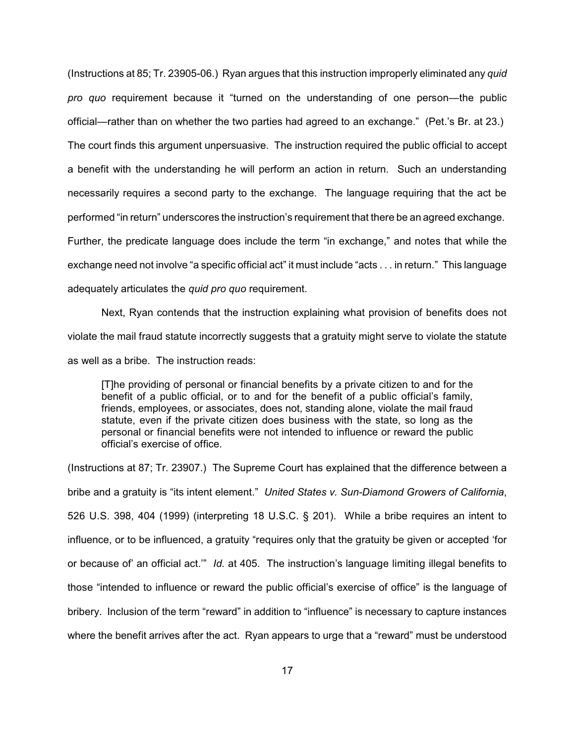(Instructions at 85; Tr. 23905-06.) Ryan argues that this instruction improperly eliminated any *quid pro quo* requirement because it "turned on the understanding of one person—the public official—rather than on whether the two parties had agreed to an exchange." (Pet.'s Br. at 23.) The court finds this argument unpersuasive. The instruction required the public official to accept a benefit with the understanding he will perform an action in return. Such an understanding necessarily requires a second party to the exchange. The language requiring that the act be performed "in return" underscores the instruction's requirement that there be an agreed exchange. Further, the predicate language does include the term "in exchange," and notes that while the exchange need not involve "a specific official act" it must include "acts . . . in return." This language adequately articulates the *quid pro quo* requirement.

Next, Ryan contends that the instruction explaining what provision of benefits does not violate the mail fraud statute incorrectly suggests that a gratuity might serve to violate the statute as well as a bribe. The instruction reads:

[T]he providing of personal or financial benefits by a private citizen to and for the benefit of a public official, or to and for the benefit of a public official's family, friends, employees, or associates, does not, standing alone, violate the mail fraud statute, even if the private citizen does business with the state, so long as the personal or financial benefits were not intended to influence or reward the public official's exercise of office.

(Instructions at 87; Tr. 23907.) The Supreme Court has explained that the difference between a bribe and a gratuity is "its intent element." *United States v. Sun-Diamond Growers of California*, 526 U.S. 398, 404 (1999) (interpreting 18 U.S.C. § 201). While a bribe requires an intent to influence, or to be influenced, a gratuity "requires only that the gratuity be given or accepted 'for or because of' an official act.'" *Id.* at 405. The instruction's language limiting illegal benefits to those "intended to influence or reward the public official's exercise of office" is the language of bribery. Inclusion of the term "reward" in addition to "influence" is necessary to capture instances where the benefit arrives after the act. Ryan appears to urge that a "reward" must be understood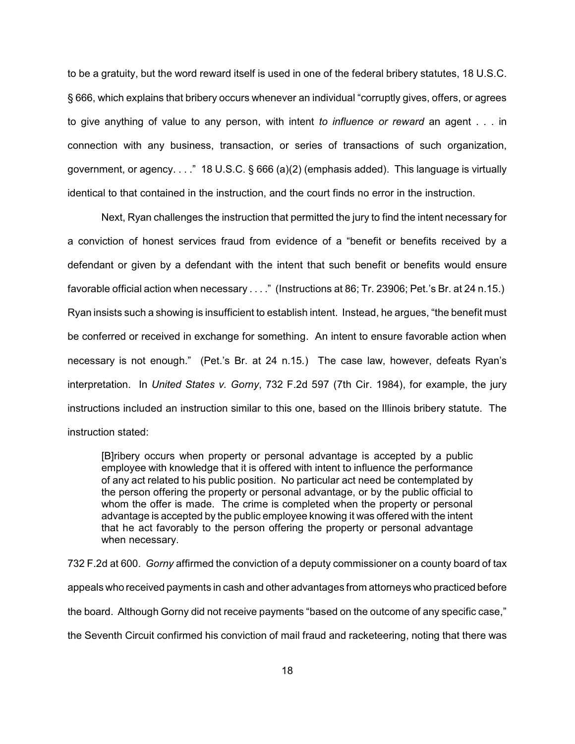to be a gratuity, but the word reward itself is used in one of the federal bribery statutes, 18 U.S.C. § 666, which explains that bribery occurs whenever an individual "corruptly gives, offers, or agrees to give anything of value to any person, with intent *to influence or reward* an agent . . . in connection with any business, transaction, or series of transactions of such organization, government, or agency.  $\dots$  " 18 U.S.C. § 666 (a)(2) (emphasis added). This language is virtually identical to that contained in the instruction, and the court finds no error in the instruction.

Next, Ryan challenges the instruction that permitted the jury to find the intent necessary for a conviction of honest services fraud from evidence of a "benefit or benefits received by a defendant or given by a defendant with the intent that such benefit or benefits would ensure favorable official action when necessary . . . ." (Instructions at 86; Tr. 23906; Pet.'s Br. at 24 n.15.) Ryan insists such a showing is insufficient to establish intent. Instead, he argues, "the benefit must be conferred or received in exchange for something. An intent to ensure favorable action when necessary is not enough." (Pet.'s Br. at 24 n.15*.*) The case law, however, defeats Ryan's interpretation. In *United States v. Gorny*, 732 F.2d 597 (7th Cir. 1984), for example, the jury instructions included an instruction similar to this one, based on the Illinois bribery statute. The instruction stated:

[B]ribery occurs when property or personal advantage is accepted by a public employee with knowledge that it is offered with intent to influence the performance of any act related to his public position. No particular act need be contemplated by the person offering the property or personal advantage, or by the public official to whom the offer is made. The crime is completed when the property or personal advantage is accepted by the public employee knowing it was offered with the intent that he act favorably to the person offering the property or personal advantage when necessary.

732 F.2d at 600. *Gorny* affirmed the conviction of a deputy commissioner on a county board of tax appeals who received payments in cash and other advantages from attorneys who practiced before the board. Although Gorny did not receive payments "based on the outcome of any specific case," the Seventh Circuit confirmed his conviction of mail fraud and racketeering, noting that there was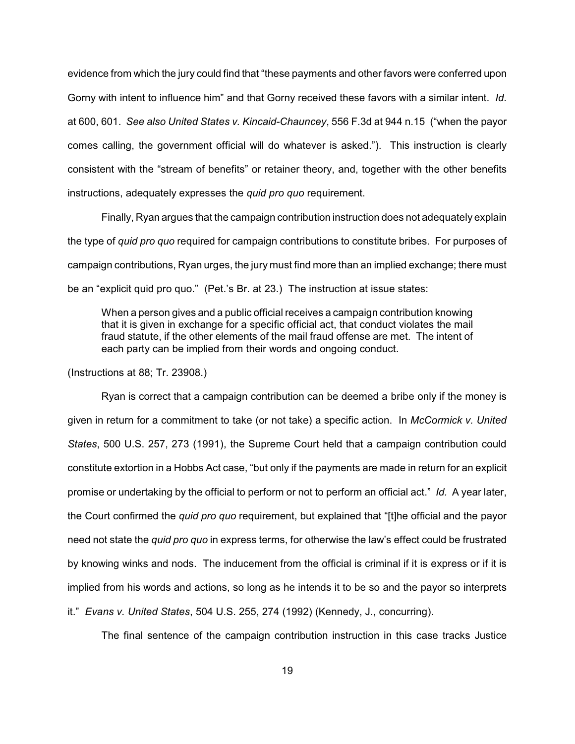evidence from which the jury could find that "these payments and other favors were conferred upon Gorny with intent to influence him" and that Gorny received these favors with a similar intent. *Id.* at 600, 601. *See also United States v. Kincaid-Chauncey*, 556 F.3d at 944 n.15 ("when the payor comes calling, the government official will do whatever is asked."). This instruction is clearly consistent with the "stream of benefits" or retainer theory, and, together with the other benefits instructions, adequately expresses the *quid pro quo* requirement.

Finally, Ryan argues that the campaign contribution instruction does not adequately explain the type of *quid pro quo* required for campaign contributions to constitute bribes. For purposes of campaign contributions, Ryan urges, the jury must find more than an implied exchange; there must be an "explicit quid pro quo." (Pet.'s Br. at 23.) The instruction at issue states:

When a person gives and a public official receives a campaign contribution knowing that it is given in exchange for a specific official act, that conduct violates the mail fraud statute, if the other elements of the mail fraud offense are met. The intent of each party can be implied from their words and ongoing conduct.

(Instructions at 88; Tr. 23908.)

Ryan is correct that a campaign contribution can be deemed a bribe only if the money is given in return for a commitment to take (or not take) a specific action. In *McCormick v. United States*, 500 U.S. 257, 273 (1991), the Supreme Court held that a campaign contribution could constitute extortion in a Hobbs Act case, "but only if the payments are made in return for an explicit promise or undertaking by the official to perform or not to perform an official act." *Id.* A year later, the Court confirmed the *quid pro quo* requirement, but explained that "[t]he official and the payor need not state the *quid pro quo* in express terms, for otherwise the law's effect could be frustrated by knowing winks and nods. The inducement from the official is criminal if it is express or if it is implied from his words and actions, so long as he intends it to be so and the payor so interprets it." *Evans v. United States*, 504 U.S. 255, 274 (1992) (Kennedy, J., concurring).

The final sentence of the campaign contribution instruction in this case tracks Justice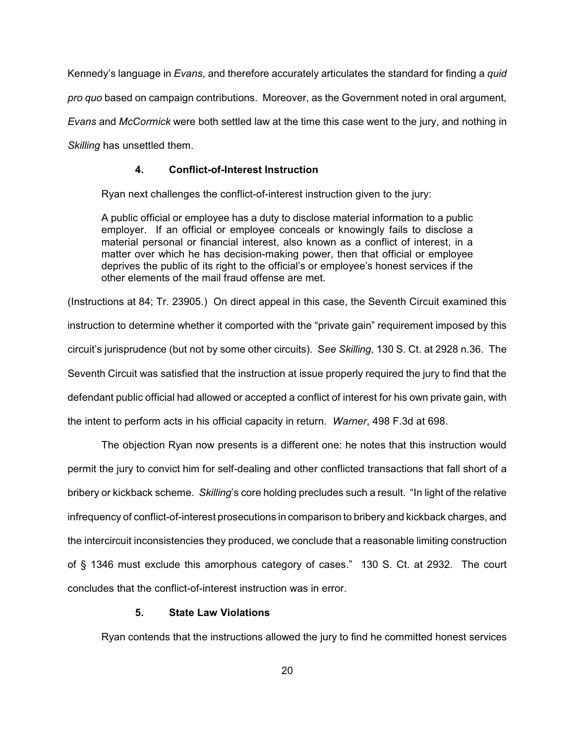Kennedy's language in *Evans*, and therefore accurately articulates the standard for finding a *quid pro quo* based on campaign contributions. Moreover, as the Government noted in oral argument, *Evans* and *McCormick* were both settled law at the time this case went to the jury, and nothing in *Skilling* has unsettled them.

## **4. Conflict-of-Interest Instruction**

Ryan next challenges the conflict-of-interest instruction given to the jury:

A public official or employee has a duty to disclose material information to a public employer. If an official or employee conceals or knowingly fails to disclose a material personal or financial interest, also known as a conflict of interest, in a matter over which he has decision-making power, then that official or employee deprives the public of its right to the official's or employee's honest services if the other elements of the mail fraud offense are met.

(Instructions at 84; Tr. 23905.) On direct appeal in this case, the Seventh Circuit examined this instruction to determine whether it comported with the "private gain" requirement imposed by this circuit's jurisprudence (but not by some other circuits). S*ee Skilling*, 130 S. Ct. at 2928 n.36. The Seventh Circuit was satisfied that the instruction at issue properly required the jury to find that the defendant public official had allowed or accepted a conflict of interest for his own private gain, with the intent to perform acts in his official capacity in return. *Warner*, 498 F.3d at 698.

The objection Ryan now presents is a different one: he notes that this instruction would permit the jury to convict him for self-dealing and other conflicted transactions that fall short of a bribery or kickback scheme. *Skilling*'s core holding precludes such a result. "In light of the relative infrequency of conflict-of-interest prosecutions in comparison to bribery and kickback charges, and the intercircuit inconsistencies they produced, we conclude that a reasonable limiting construction of § 1346 must exclude this amorphous category of cases." 130 S. Ct. at 2932. The court concludes that the conflict-of-interest instruction was in error.

#### **5. State Law Violations**

Ryan contends that the instructions allowed the jury to find he committed honest services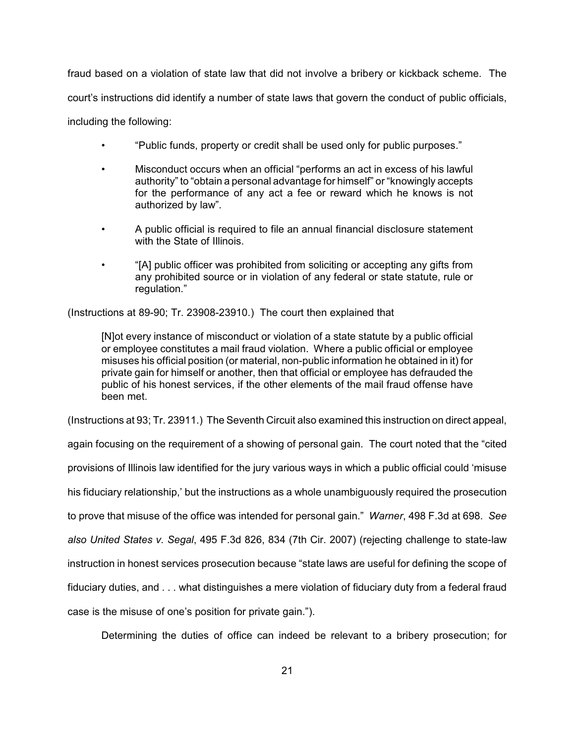fraud based on a violation of state law that did not involve a bribery or kickback scheme. The court's instructions did identify a number of state laws that govern the conduct of public officials, including the following:

- "Public funds, property or credit shall be used only for public purposes."
- Misconduct occurs when an official "performs an act in excess of his lawful authority" to "obtain a personal advantage for himself" or "knowingly accepts for the performance of any act a fee or reward which he knows is not authorized by law".
- A public official is required to file an annual financial disclosure statement with the State of Illinois.
- "[A] public officer was prohibited from soliciting or accepting any gifts from any prohibited source or in violation of any federal or state statute, rule or regulation."

(Instructions at 89-90; Tr. 23908-23910.) The court then explained that

[N]ot every instance of misconduct or violation of a state statute by a public official or employee constitutes a mail fraud violation. Where a public official or employee misuses his official position (or material, non-public information he obtained in it) for private gain for himself or another, then that official or employee has defrauded the public of his honest services, if the other elements of the mail fraud offense have been met.

(Instructions at 93; Tr. 23911.) The Seventh Circuit also examined this instruction on direct appeal,

again focusing on the requirement of a showing of personal gain. The court noted that the "cited provisions of Illinois law identified for the jury various ways in which a public official could 'misuse his fiduciary relationship,' but the instructions as a whole unambiguously required the prosecution to prove that misuse of the office was intended for personal gain." *Warner*, 498 F.3d at 698. *See also United States v. Segal*, 495 F.3d 826, 834 (7th Cir. 2007) (rejecting challenge to state-law instruction in honest services prosecution because "state laws are useful for defining the scope of fiduciary duties, and . . . what distinguishes a mere violation of fiduciary duty from a federal fraud case is the misuse of one's position for private gain.").

Determining the duties of office can indeed be relevant to a bribery prosecution; for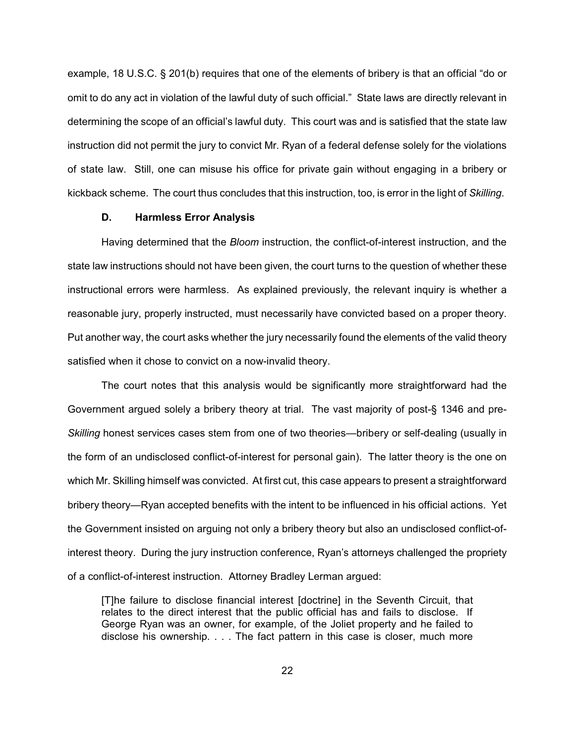example, 18 U.S.C. § 201(b) requires that one of the elements of bribery is that an official "do or omit to do any act in violation of the lawful duty of such official." State laws are directly relevant in determining the scope of an official's lawful duty. This court was and is satisfied that the state law instruction did not permit the jury to convict Mr. Ryan of a federal defense solely for the violations of state law. Still, one can misuse his office for private gain without engaging in a bribery or kickback scheme. The court thus concludes that this instruction, too, is error in the light of *Skilling*.

## **D. Harmless Error Analysis**

Having determined that the *Bloom* instruction, the conflict-of-interest instruction, and the state law instructions should not have been given, the court turns to the question of whether these instructional errors were harmless. As explained previously, the relevant inquiry is whether a reasonable jury, properly instructed, must necessarily have convicted based on a proper theory. Put another way, the court asks whether the jury necessarily found the elements of the valid theory satisfied when it chose to convict on a now-invalid theory.

The court notes that this analysis would be significantly more straightforward had the Government argued solely a bribery theory at trial. The vast majority of post-§ 1346 and pre-*Skilling* honest services cases stem from one of two theories—bribery or self-dealing (usually in the form of an undisclosed conflict-of-interest for personal gain). The latter theory is the one on which Mr. Skilling himself was convicted. At first cut, this case appears to present a straightforward bribery theory—Ryan accepted benefits with the intent to be influenced in his official actions. Yet the Government insisted on arguing not only a bribery theory but also an undisclosed conflict-ofinterest theory. During the jury instruction conference, Ryan's attorneys challenged the propriety of a conflict-of-interest instruction. Attorney Bradley Lerman argued:

[T]he failure to disclose financial interest [doctrine] in the Seventh Circuit, that relates to the direct interest that the public official has and fails to disclose. If George Ryan was an owner, for example, of the Joliet property and he failed to disclose his ownership. . . . The fact pattern in this case is closer, much more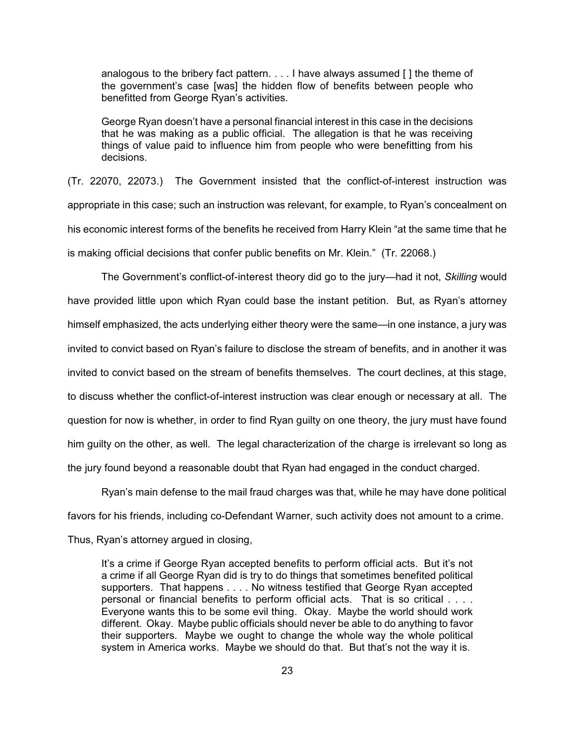analogous to the bribery fact pattern. . . . I have always assumed [ ] the theme of the government's case [was] the hidden flow of benefits between people who benefitted from George Ryan's activities.

George Ryan doesn't have a personal financial interest in this case in the decisions that he was making as a public official. The allegation is that he was receiving things of value paid to influence him from people who were benefitting from his decisions.

(Tr. 22070, 22073.) The Government insisted that the conflict-of-interest instruction was appropriate in this case; such an instruction was relevant, for example, to Ryan's concealment on his economic interest forms of the benefits he received from Harry Klein "at the same time that he is making official decisions that confer public benefits on Mr. Klein." (Tr. 22068.)

The Government's conflict-of-interest theory did go to the jury—had it not, *Skilling* would have provided little upon which Ryan could base the instant petition. But, as Ryan's attorney himself emphasized, the acts underlying either theory were the same—in one instance, a jury was invited to convict based on Ryan's failure to disclose the stream of benefits, and in another it was invited to convict based on the stream of benefits themselves. The court declines, at this stage, to discuss whether the conflict-of-interest instruction was clear enough or necessary at all. The question for now is whether, in order to find Ryan guilty on one theory, the jury must have found him guilty on the other, as well. The legal characterization of the charge is irrelevant so long as the jury found beyond a reasonable doubt that Ryan had engaged in the conduct charged.

Ryan's main defense to the mail fraud charges was that, while he may have done political favors for his friends, including co-Defendant Warner, such activity does not amount to a crime. Thus, Ryan's attorney argued in closing,

It's a crime if George Ryan accepted benefits to perform official acts. But it's not a crime if all George Ryan did is try to do things that sometimes benefited political supporters. That happens . . . . No witness testified that George Ryan accepted personal or financial benefits to perform official acts. That is so critical . . . . Everyone wants this to be some evil thing. Okay. Maybe the world should work different. Okay. Maybe public officials should never be able to do anything to favor their supporters. Maybe we ought to change the whole way the whole political system in America works. Maybe we should do that. But that's not the way it is.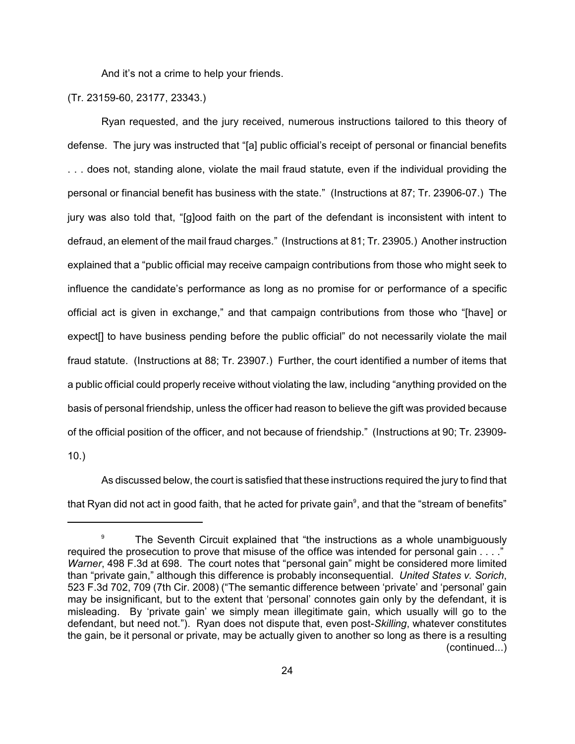And it's not a crime to help your friends.

## (Tr. 23159-60, 23177, 23343.)

Ryan requested, and the jury received, numerous instructions tailored to this theory of defense. The jury was instructed that "[a] public official's receipt of personal or financial benefits . . . does not, standing alone, violate the mail fraud statute, even if the individual providing the personal or financial benefit has business with the state." (Instructions at 87; Tr. 23906-07.) The jury was also told that, "[g]ood faith on the part of the defendant is inconsistent with intent to defraud, an element of the mail fraud charges." (Instructions at 81; Tr. 23905.) Another instruction explained that a "public official may receive campaign contributions from those who might seek to influence the candidate's performance as long as no promise for or performance of a specific official act is given in exchange," and that campaign contributions from those who "[have] or expect[] to have business pending before the public official" do not necessarily violate the mail fraud statute. (Instructions at 88; Tr. 23907.) Further, the court identified a number of items that a public official could properly receive without violating the law, including "anything provided on the basis of personal friendship, unless the officer had reason to believe the gift was provided because of the official position of the officer, and not because of friendship." (Instructions at 90; Tr. 23909- 10.)

As discussed below, the court is satisfied that these instructions required the jury to find that that Ryan did not act in good faith, that he acted for private gain<sup>9</sup>, and that the "stream of benefits"

 $\frac{9}{2}$  The Seventh Circuit explained that "the instructions as a whole unambiguously required the prosecution to prove that misuse of the office was intended for personal gain . . . ." *Warner*, 498 F.3d at 698. The court notes that "personal gain" might be considered more limited than "private gain," although this difference is probably inconsequential. *United States v. Sorich*, 523 F.3d 702, 709 (7th Cir. 2008) ("The semantic difference between 'private' and 'personal' gain may be insignificant, but to the extent that 'personal' connotes gain only by the defendant, it is misleading. By 'private gain' we simply mean illegitimate gain, which usually will go to the defendant, but need not."). Ryan does not dispute that, even post-*Skilling*, whatever constitutes the gain, be it personal or private, may be actually given to another so long as there is a resulting (continued...)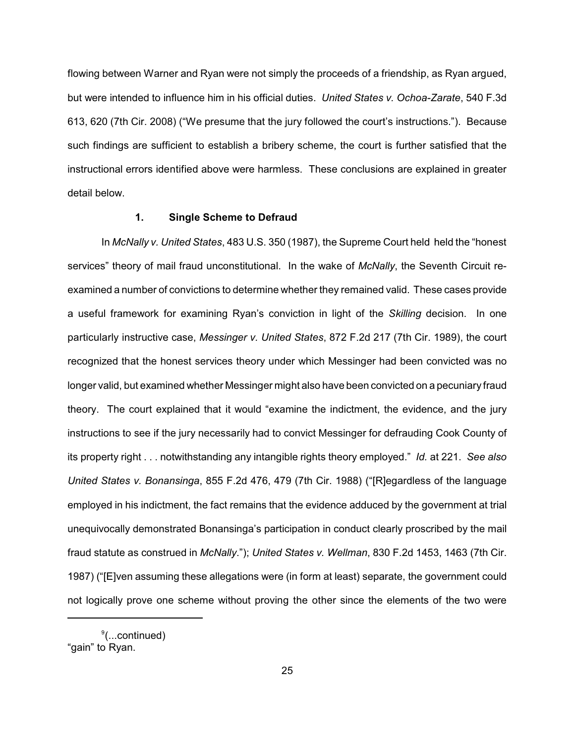flowing between Warner and Ryan were not simply the proceeds of a friendship, as Ryan argued, but were intended to influence him in his official duties. *United States v. Ochoa-Zarate*, 540 F.3d 613, 620 (7th Cir. 2008) ("We presume that the jury followed the court's instructions."). Because such findings are sufficient to establish a bribery scheme, the court is further satisfied that the instructional errors identified above were harmless. These conclusions are explained in greater detail below.

## **1. Single Scheme to Defraud**

In *McNally v. United States*, 483 U.S. 350 (1987), the Supreme Court held held the "honest services" theory of mail fraud unconstitutional. In the wake of *McNally*, the Seventh Circuit reexamined a number of convictions to determine whether they remained valid. These cases provide a useful framework for examining Ryan's conviction in light of the *Skilling* decision. In one particularly instructive case, *Messinger v. United States*, 872 F.2d 217 (7th Cir. 1989), the court recognized that the honest services theory under which Messinger had been convicted was no longer valid, but examined whether Messinger might also have been convicted on a pecuniary fraud theory. The court explained that it would "examine the indictment, the evidence, and the jury instructions to see if the jury necessarily had to convict Messinger for defrauding Cook County of its property right . . . notwithstanding any intangible rights theory employed." *Id.* at 221. *See also United States v. Bonansinga*, 855 F.2d 476, 479 (7th Cir. 1988) ("[R]egardless of the language employed in his indictment, the fact remains that the evidence adduced by the government at trial unequivocally demonstrated Bonansinga's participation in conduct clearly proscribed by the mail fraud statute as construed in *McNally*."); *United States v. Wellman*, 830 F.2d 1453, 1463 (7th Cir. 1987) ("[E]ven assuming these allegations were (in form at least) separate, the government could not logically prove one scheme without proving the other since the elements of the two were

 $\degree$ (...continued) "gain" to Ryan.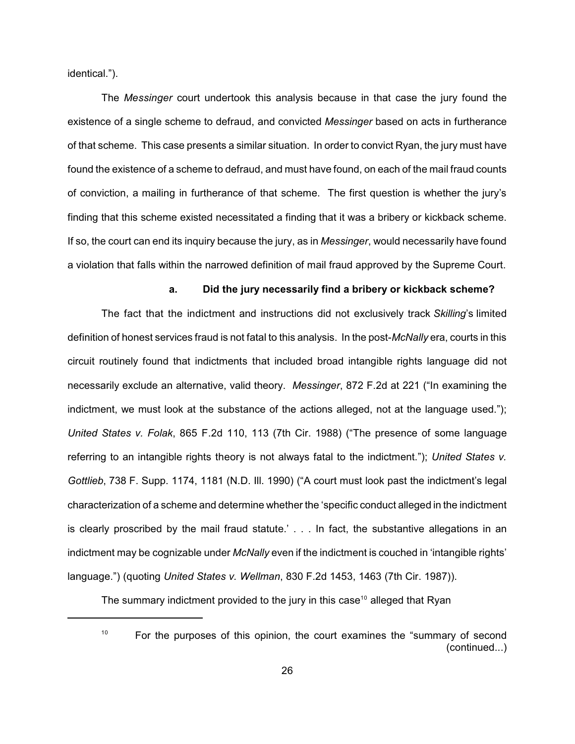identical.").

The *Messinger* court undertook this analysis because in that case the jury found the existence of a single scheme to defraud, and convicted *Messinger* based on acts in furtherance of that scheme. This case presents a similar situation. In order to convict Ryan, the jury must have found the existence of a scheme to defraud, and must have found, on each of the mail fraud counts of conviction, a mailing in furtherance of that scheme. The first question is whether the jury's finding that this scheme existed necessitated a finding that it was a bribery or kickback scheme. If so, the court can end its inquiry because the jury, as in *Messinger*, would necessarily have found a violation that falls within the narrowed definition of mail fraud approved by the Supreme Court.

## **a. Did the jury necessarily find a bribery or kickback scheme?**

 The fact that the indictment and instructions did not exclusively track *Skilling*'s limited definition of honest services fraud is not fatal to this analysis. In the post-*McNally* era, courts in this circuit routinely found that indictments that included broad intangible rights language did not necessarily exclude an alternative, valid theory. *Messinger*, 872 F.2d at 221 ("In examining the indictment, we must look at the substance of the actions alleged, not at the language used."); *United States v. Folak*, 865 F.2d 110, 113 (7th Cir. 1988) ("The presence of some language referring to an intangible rights theory is not always fatal to the indictment."); *United States v. Gottlieb*, 738 F. Supp. 1174, 1181 (N.D. Ill. 1990) ("A court must look past the indictment's legal characterization of a scheme and determine whether the 'specific conduct alleged in the indictment is clearly proscribed by the mail fraud statute.' . . . In fact, the substantive allegations in an indictment may be cognizable under *McNally* even if the indictment is couched in 'intangible rights' language.") (quoting *United States v. Wellman*, 830 F.2d 1453, 1463 (7th Cir. 1987)).

The summary indictment provided to the jury in this case<sup>10</sup> alleged that Ryan

10

For the purposes of this opinion, the court examines the "summary of second (continued...)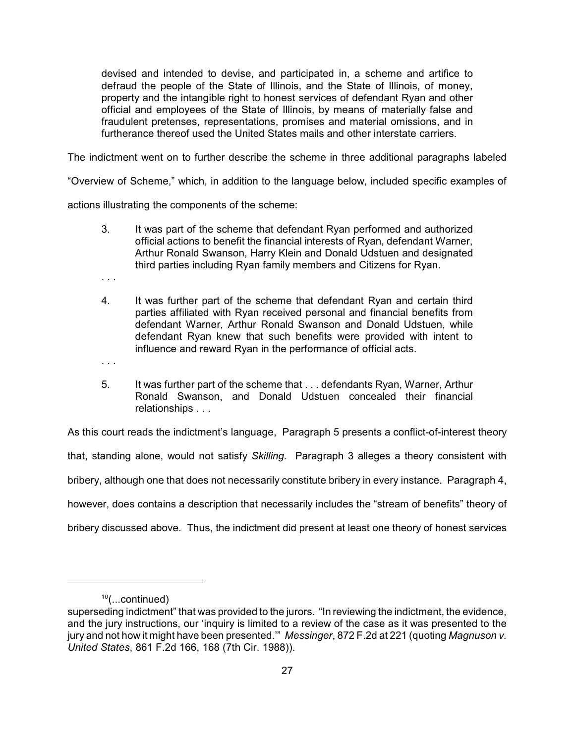devised and intended to devise, and participated in, a scheme and artifice to defraud the people of the State of Illinois, and the State of Illinois, of money, property and the intangible right to honest services of defendant Ryan and other official and employees of the State of Illinois, by means of materially false and fraudulent pretenses, representations, promises and material omissions, and in furtherance thereof used the United States mails and other interstate carriers.

The indictment went on to further describe the scheme in three additional paragraphs labeled

"Overview of Scheme," which, in addition to the language below, included specific examples of

actions illustrating the components of the scheme:

- 3. It was part of the scheme that defendant Ryan performed and authorized official actions to benefit the financial interests of Ryan, defendant Warner, Arthur Ronald Swanson, Harry Klein and Donald Udstuen and designated third parties including Ryan family members and Citizens for Ryan.
- . . .

. . .

- 4. It was further part of the scheme that defendant Ryan and certain third parties affiliated with Ryan received personal and financial benefits from defendant Warner, Arthur Ronald Swanson and Donald Udstuen, while defendant Ryan knew that such benefits were provided with intent to influence and reward Ryan in the performance of official acts.
- 5. It was further part of the scheme that . . . defendants Ryan, Warner, Arthur Ronald Swanson, and Donald Udstuen concealed their financial relationships . . .

As this court reads the indictment's language, Paragraph 5 presents a conflict-of-interest theory that, standing alone, would not satisfy *Skilling.* Paragraph 3 alleges a theory consistent with bribery, although one that does not necessarily constitute bribery in every instance. Paragraph 4, however, does contains a description that necessarily includes the "stream of benefits" theory of bribery discussed above. Thus, the indictment did present at least one theory of honest services

 $10$ (...continued)

superseding indictment" that was provided to the jurors. "In reviewing the indictment, the evidence, and the jury instructions, our 'inquiry is limited to a review of the case as it was presented to the jury and not how it might have been presented.'" *Messinger*, 872 F.2d at 221 (quoting *Magnuson v. United States*, 861 F.2d 166, 168 (7th Cir. 1988)).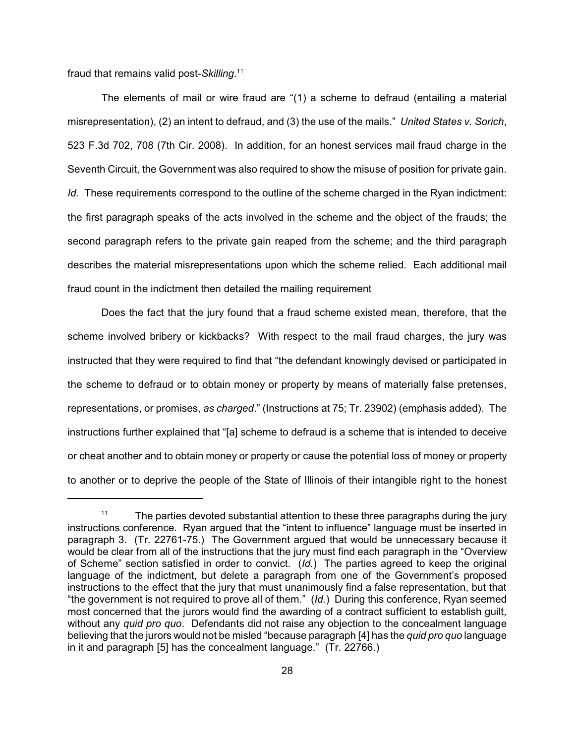fraud that remains valid post-*Skilling*. 11

The elements of mail or wire fraud are "(1) a scheme to defraud (entailing a material misrepresentation), (2) an intent to defraud, and (3) the use of the mails." *United States v. Sorich*, 523 F.3d 702, 708 (7th Cir. 2008). In addition, for an honest services mail fraud charge in the Seventh Circuit, the Government was also required to show the misuse of position for private gain. *Id.* These requirements correspond to the outline of the scheme charged in the Ryan indictment: the first paragraph speaks of the acts involved in the scheme and the object of the frauds; the second paragraph refers to the private gain reaped from the scheme; and the third paragraph describes the material misrepresentations upon which the scheme relied. Each additional mail fraud count in the indictment then detailed the mailing requirement

Does the fact that the jury found that a fraud scheme existed mean, therefore, that the scheme involved bribery or kickbacks? With respect to the mail fraud charges, the jury was instructed that they were required to find that "the defendant knowingly devised or participated in the scheme to defraud or to obtain money or property by means of materially false pretenses, representations, or promises, *as charged*." (Instructions at 75; Tr. 23902) (emphasis added). The instructions further explained that "[a] scheme to defraud is a scheme that is intended to deceive or cheat another and to obtain money or property or cause the potential loss of money or property to another or to deprive the people of the State of Illinois of their intangible right to the honest

The parties devoted substantial attention to these three paragraphs during the jury 11 instructions conference. Ryan argued that the "intent to influence" language must be inserted in paragraph 3. (Tr. 22761-75.) The Government argued that would be unnecessary because it would be clear from all of the instructions that the jury must find each paragraph in the "Overview of Scheme" section satisfied in order to convict. (*Id.*) The parties agreed to keep the original language of the indictment, but delete a paragraph from one of the Government's proposed instructions to the effect that the jury that must unanimously find a false representation, but that "the government is not required to prove all of them." (*Id.*) During this conference, Ryan seemed most concerned that the jurors would find the awarding of a contract sufficient to establish guilt, without any *quid pro quo*. Defendants did not raise any objection to the concealment language believing that the jurors would not be misled "because paragraph [4] has the *quid pro quo* language in it and paragraph [5] has the concealment language." (Tr. 22766.)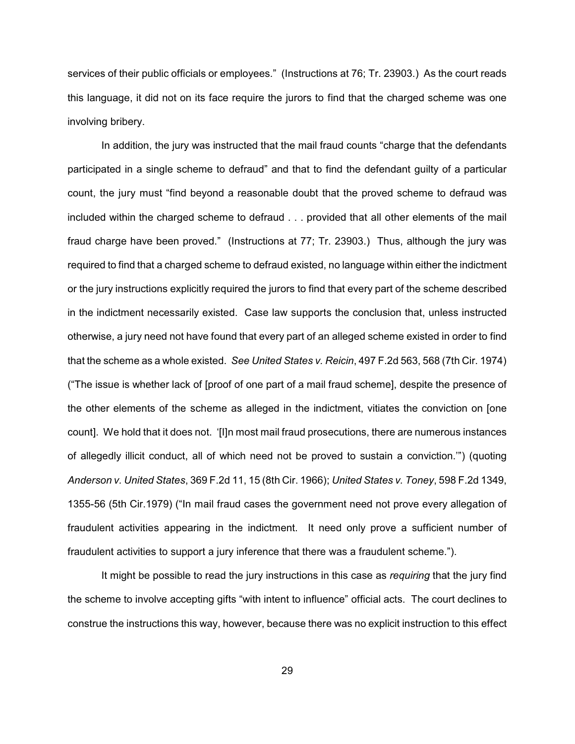services of their public officials or employees." (Instructions at 76; Tr. 23903.) As the court reads this language, it did not on its face require the jurors to find that the charged scheme was one involving bribery.

In addition, the jury was instructed that the mail fraud counts "charge that the defendants participated in a single scheme to defraud" and that to find the defendant guilty of a particular count, the jury must "find beyond a reasonable doubt that the proved scheme to defraud was included within the charged scheme to defraud . . . provided that all other elements of the mail fraud charge have been proved." (Instructions at 77; Tr. 23903.) Thus, although the jury was required to find that a charged scheme to defraud existed, no language within either the indictment or the jury instructions explicitly required the jurors to find that every part of the scheme described in the indictment necessarily existed. Case law supports the conclusion that, unless instructed otherwise, a jury need not have found that every part of an alleged scheme existed in order to find that the scheme as a whole existed. *See United States v. Reicin*, 497 F.2d 563, 568 (7th Cir. 1974) ("The issue is whether lack of [proof of one part of a mail fraud scheme], despite the presence of the other elements of the scheme as alleged in the indictment, vitiates the conviction on [one count]. We hold that it does not. '[I]n most mail fraud prosecutions, there are numerous instances of allegedly illicit conduct, all of which need not be proved to sustain a conviction.'") (quoting *Anderson v. United States*, 369 F.2d 11, 15 (8th Cir. 1966); *United States v. Toney*, 598 F.2d 1349, 1355-56 (5th Cir.1979) ("In mail fraud cases the government need not prove every allegation of fraudulent activities appearing in the indictment. It need only prove a sufficient number of fraudulent activities to support a jury inference that there was a fraudulent scheme.").

It might be possible to read the jury instructions in this case as *requiring* that the jury find the scheme to involve accepting gifts "with intent to influence" official acts. The court declines to construe the instructions this way, however, because there was no explicit instruction to this effect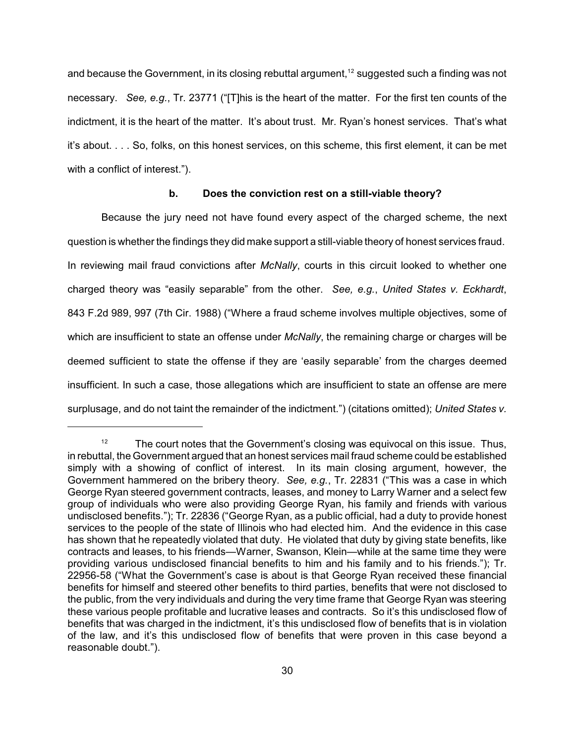and because the Government, in its closing rebuttal argument,<sup>12</sup> suggested such a finding was not necessary. *See, e.g.*, Tr. 23771 ("[T]his is the heart of the matter. For the first ten counts of the indictment, it is the heart of the matter. It's about trust. Mr. Ryan's honest services. That's what it's about. . . . So, folks, on this honest services, on this scheme, this first element, it can be met with a conflict of interest.").

## **b. Does the conviction rest on a still-viable theory?**

Because the jury need not have found every aspect of the charged scheme, the next question is whether the findings they did make support a still-viable theory of honest services fraud. In reviewing mail fraud convictions after *McNally*, courts in this circuit looked to whether one charged theory was "easily separable" from the other. *See, e.g.*, *United States v. Eckhardt*, 843 F.2d 989, 997 (7th Cir. 1988) ("Where a fraud scheme involves multiple objectives, some of which are insufficient to state an offense under *McNally*, the remaining charge or charges will be deemed sufficient to state the offense if they are 'easily separable' from the charges deemed insufficient. In such a case, those allegations which are insufficient to state an offense are mere surplusage, and do not taint the remainder of the indictment.") (citations omitted); *United States v.*

 $12$  The court notes that the Government's closing was equivocal on this issue. Thus, in rebuttal, the Government argued that an honest services mail fraud scheme could be established simply with a showing of conflict of interest. In its main closing argument, however, the Government hammered on the bribery theory. *See, e.g.*, Tr. 22831 ("This was a case in which George Ryan steered government contracts, leases, and money to Larry Warner and a select few group of individuals who were also providing George Ryan, his family and friends with various undisclosed benefits."); Tr. 22836 ("George Ryan, as a public official, had a duty to provide honest services to the people of the state of Illinois who had elected him. And the evidence in this case has shown that he repeatedly violated that duty. He violated that duty by giving state benefits, like contracts and leases, to his friends—Warner, Swanson, Klein—while at the same time they were providing various undisclosed financial benefits to him and his family and to his friends."); Tr. 22956-58 ("What the Government's case is about is that George Ryan received these financial benefits for himself and steered other benefits to third parties, benefits that were not disclosed to the public, from the very individuals and during the very time frame that George Ryan was steering these various people profitable and lucrative leases and contracts. So it's this undisclosed flow of benefits that was charged in the indictment, it's this undisclosed flow of benefits that is in violation of the law, and it's this undisclosed flow of benefits that were proven in this case beyond a reasonable doubt.").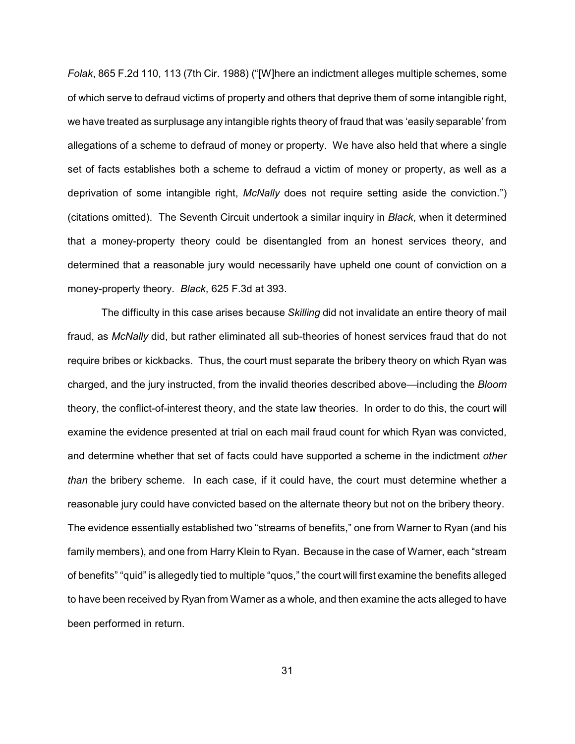*Folak*, 865 F.2d 110, 113 (7th Cir. 1988) ("[W]here an indictment alleges multiple schemes, some of which serve to defraud victims of property and others that deprive them of some intangible right, we have treated as surplusage any intangible rights theory of fraud that was 'easily separable' from allegations of a scheme to defraud of money or property. We have also held that where a single set of facts establishes both a scheme to defraud a victim of money or property, as well as a deprivation of some intangible right, *McNally* does not require setting aside the conviction.") (citations omitted). The Seventh Circuit undertook a similar inquiry in *Black*, when it determined that a money-property theory could be disentangled from an honest services theory, and determined that a reasonable jury would necessarily have upheld one count of conviction on a money-property theory. *Black*, 625 F.3d at 393.

The difficulty in this case arises because *Skilling* did not invalidate an entire theory of mail fraud, as *McNally* did, but rather eliminated all sub-theories of honest services fraud that do not require bribes or kickbacks. Thus, the court must separate the bribery theory on which Ryan was charged, and the jury instructed, from the invalid theories described above—including the *Bloom* theory, the conflict-of-interest theory, and the state law theories. In order to do this, the court will examine the evidence presented at trial on each mail fraud count for which Ryan was convicted, and determine whether that set of facts could have supported a scheme in the indictment *other than* the bribery scheme. In each case, if it could have, the court must determine whether a reasonable jury could have convicted based on the alternate theory but not on the bribery theory. The evidence essentially established two "streams of benefits," one from Warner to Ryan (and his family members), and one from Harry Klein to Ryan. Because in the case of Warner, each "stream of benefits" "quid" is allegedly tied to multiple "quos," the court will first examine the benefits alleged to have been received by Ryan from Warner as a whole, and then examine the acts alleged to have been performed in return.

31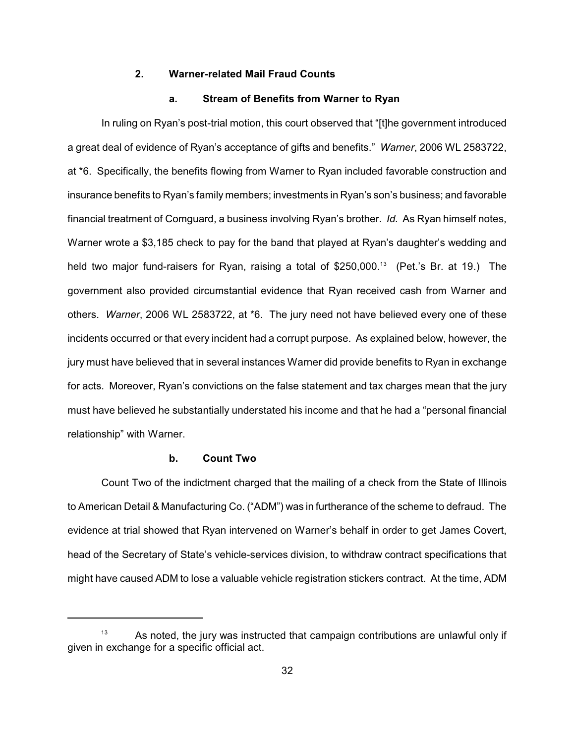### **2. Warner-related Mail Fraud Counts**

## **a. Stream of Benefits from Warner to Ryan**

In ruling on Ryan's post-trial motion, this court observed that "[t]he government introduced a great deal of evidence of Ryan's acceptance of gifts and benefits." *Warner*, 2006 WL 2583722, at \*6. Specifically, the benefits flowing from Warner to Ryan included favorable construction and insurance benefits to Ryan's family members; investments in Ryan's son's business; and favorable financial treatment of Comguard, a business involving Ryan's brother. *Id.* As Ryan himself notes, Warner wrote a \$3,185 check to pay for the band that played at Ryan's daughter's wedding and held two major fund-raisers for Ryan, raising a total of  $$250,000$ .<sup>13</sup> (Pet.'s Br. at 19.) The government also provided circumstantial evidence that Ryan received cash from Warner and others. *Warner*, 2006 WL 2583722, at \*6. The jury need not have believed every one of these incidents occurred or that every incident had a corrupt purpose. As explained below, however, the jury must have believed that in several instances Warner did provide benefits to Ryan in exchange for acts. Moreover, Ryan's convictions on the false statement and tax charges mean that the jury must have believed he substantially understated his income and that he had a "personal financial relationship" with Warner.

#### **b. Count Two**

Count Two of the indictment charged that the mailing of a check from the State of Illinois to American Detail & Manufacturing Co. ("ADM") was in furtherance of the scheme to defraud. The evidence at trial showed that Ryan intervened on Warner's behalf in order to get James Covert, head of the Secretary of State's vehicle-services division, to withdraw contract specifications that might have caused ADM to lose a valuable vehicle registration stickers contract. At the time, ADM

As noted, the jury was instructed that campaign contributions are unlawful only if given in exchange for a specific official act.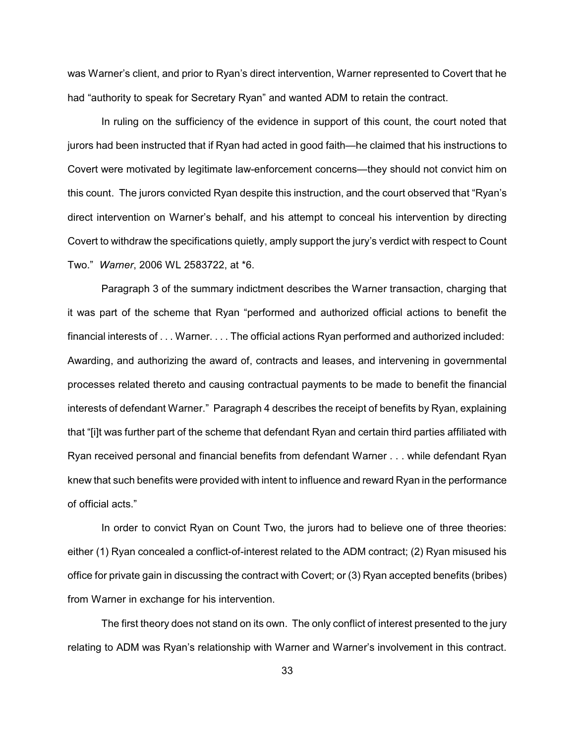was Warner's client, and prior to Ryan's direct intervention, Warner represented to Covert that he had "authority to speak for Secretary Ryan" and wanted ADM to retain the contract.

In ruling on the sufficiency of the evidence in support of this count, the court noted that jurors had been instructed that if Ryan had acted in good faith—he claimed that his instructions to Covert were motivated by legitimate law-enforcement concerns—they should not convict him on this count. The jurors convicted Ryan despite this instruction, and the court observed that "Ryan's direct intervention on Warner's behalf, and his attempt to conceal his intervention by directing Covert to withdraw the specifications quietly, amply support the jury's verdict with respect to Count Two." *Warner*, 2006 WL 2583722, at \*6.

Paragraph 3 of the summary indictment describes the Warner transaction, charging that it was part of the scheme that Ryan "performed and authorized official actions to benefit the financial interests of . . . Warner. . . . The official actions Ryan performed and authorized included: Awarding, and authorizing the award of, contracts and leases, and intervening in governmental processes related thereto and causing contractual payments to be made to benefit the financial interests of defendant Warner." Paragraph 4 describes the receipt of benefits by Ryan, explaining that "[i]t was further part of the scheme that defendant Ryan and certain third parties affiliated with Ryan received personal and financial benefits from defendant Warner . . . while defendant Ryan knew that such benefits were provided with intent to influence and reward Ryan in the performance of official acts."

In order to convict Ryan on Count Two, the jurors had to believe one of three theories: either (1) Ryan concealed a conflict-of-interest related to the ADM contract; (2) Ryan misused his office for private gain in discussing the contract with Covert; or (3) Ryan accepted benefits (bribes) from Warner in exchange for his intervention.

The first theory does not stand on its own. The only conflict of interest presented to the jury relating to ADM was Ryan's relationship with Warner and Warner's involvement in this contract.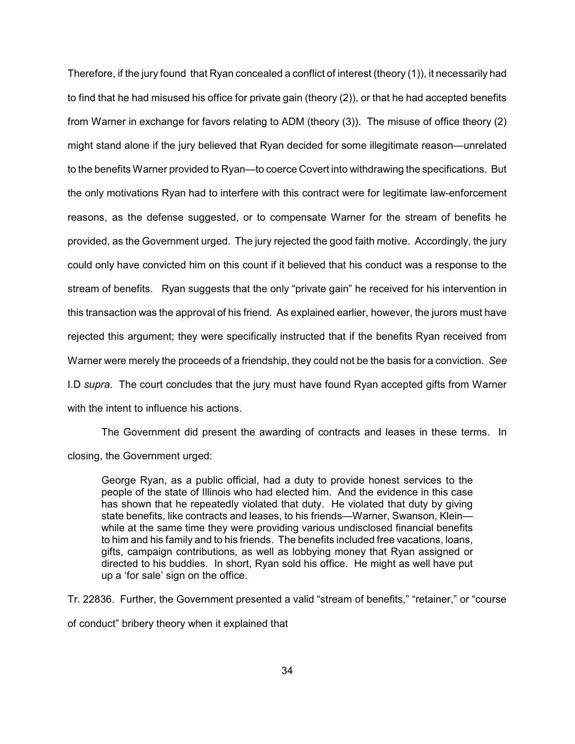Therefore, if the jury found that Ryan concealed a conflict of interest (theory (1)), it necessarily had to find that he had misused his office for private gain (theory (2)), or that he had accepted benefits from Warner in exchange for favors relating to ADM (theory (3)). The misuse of office theory (2) might stand alone if the jury believed that Ryan decided for some illegitimate reason—unrelated to the benefits Warner provided to Ryan—to coerce Covert into withdrawing the specifications. But the only motivations Ryan had to interfere with this contract were for legitimate law-enforcement reasons, as the defense suggested, or to compensate Warner for the stream of benefits he provided, as the Government urged. The jury rejected the good faith motive. Accordingly, the jury could only have convicted him on this count if it believed that his conduct was a response to the stream of benefits. Ryan suggests that the only "private gain" he received for his intervention in this transaction was the approval of his friend. As explained earlier, however, the jurors must have rejected this argument; they were specifically instructed that if the benefits Ryan received from Warner were merely the proceeds of a friendship, they could not be the basis for a conviction. *See* I.D *supra*. The court concludes that the jury must have found Ryan accepted gifts from Warner with the intent to influence his actions.

The Government did present the awarding of contracts and leases in these terms. In closing, the Government urged:

George Ryan, as a public official, had a duty to provide honest services to the people of the state of Illinois who had elected him. And the evidence in this case has shown that he repeatedly violated that duty. He violated that duty by giving state benefits, like contracts and leases, to his friends—Warner, Swanson, Klein while at the same time they were providing various undisclosed financial benefits to him and his family and to his friends. The benefits included free vacations, loans, gifts, campaign contributions, as well as lobbying money that Ryan assigned or directed to his buddies. In short, Ryan sold his office. He might as well have put up a 'for sale' sign on the office.

Tr. 22836. Further, the Government presented a valid "stream of benefits," "retainer," or "course of conduct" bribery theory when it explained that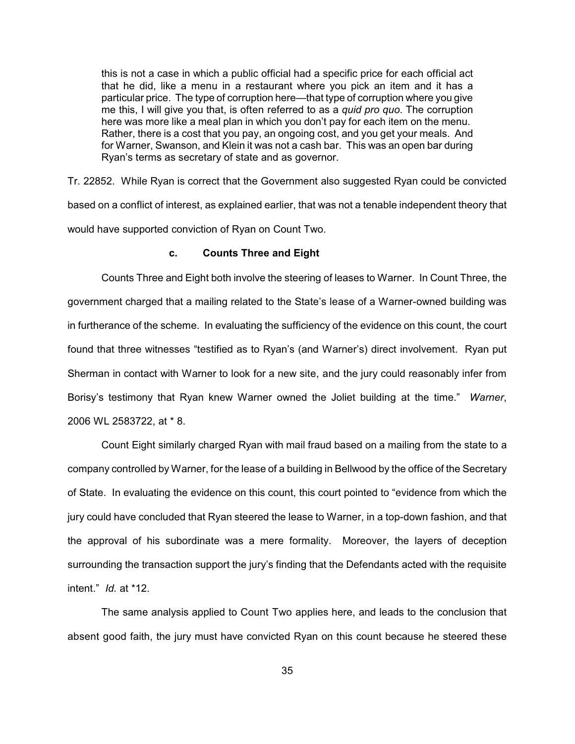this is not a case in which a public official had a specific price for each official act that he did, like a menu in a restaurant where you pick an item and it has a particular price. The type of corruption here—that type of corruption where you give me this, I will give you that, is often referred to as a *quid pro quo*. The corruption here was more like a meal plan in which you don't pay for each item on the menu. Rather, there is a cost that you pay, an ongoing cost, and you get your meals. And for Warner, Swanson, and Klein it was not a cash bar. This was an open bar during Ryan's terms as secretary of state and as governor.

Tr. 22852. While Ryan is correct that the Government also suggested Ryan could be convicted based on a conflict of interest, as explained earlier, that was not a tenable independent theory that would have supported conviction of Ryan on Count Two.

### **c. Counts Three and Eight**

Counts Three and Eight both involve the steering of leases to Warner. In Count Three, the government charged that a mailing related to the State's lease of a Warner-owned building was in furtherance of the scheme. In evaluating the sufficiency of the evidence on this count, the court found that three witnesses "testified as to Ryan's (and Warner's) direct involvement. Ryan put Sherman in contact with Warner to look for a new site, and the jury could reasonably infer from Borisy's testimony that Ryan knew Warner owned the Joliet building at the time." *Warner*, 2006 WL 2583722, at \* 8.

Count Eight similarly charged Ryan with mail fraud based on a mailing from the state to a company controlled by Warner, for the lease of a building in Bellwood by the office of the Secretary of State. In evaluating the evidence on this count, this court pointed to "evidence from which the jury could have concluded that Ryan steered the lease to Warner, in a top-down fashion, and that the approval of his subordinate was a mere formality. Moreover, the layers of deception surrounding the transaction support the jury's finding that the Defendants acted with the requisite intent." *Id.* at \*12.

The same analysis applied to Count Two applies here, and leads to the conclusion that absent good faith, the jury must have convicted Ryan on this count because he steered these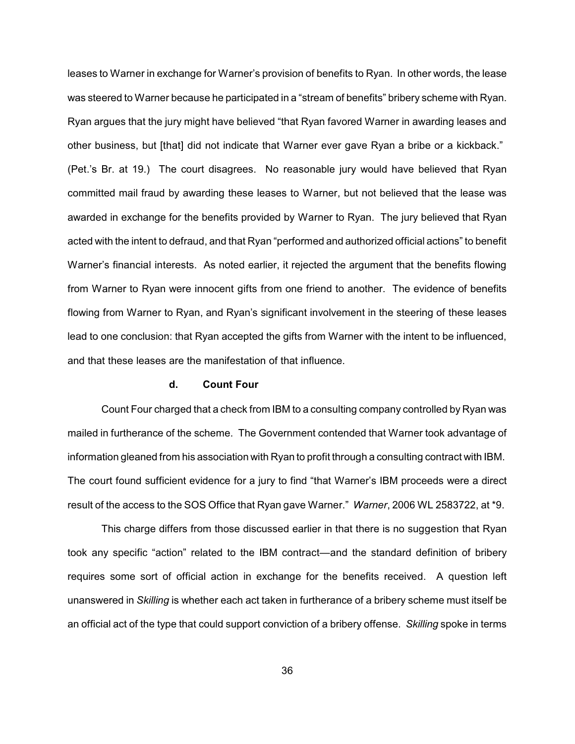leases to Warner in exchange for Warner's provision of benefits to Ryan. In other words, the lease was steered to Warner because he participated in a "stream of benefits" bribery scheme with Ryan. Ryan argues that the jury might have believed "that Ryan favored Warner in awarding leases and other business, but [that] did not indicate that Warner ever gave Ryan a bribe or a kickback." (Pet.'s Br. at 19.) The court disagrees. No reasonable jury would have believed that Ryan committed mail fraud by awarding these leases to Warner, but not believed that the lease was awarded in exchange for the benefits provided by Warner to Ryan. The jury believed that Ryan acted with the intent to defraud, and that Ryan "performed and authorized official actions" to benefit Warner's financial interests. As noted earlier, it rejected the argument that the benefits flowing from Warner to Ryan were innocent gifts from one friend to another. The evidence of benefits flowing from Warner to Ryan, and Ryan's significant involvement in the steering of these leases lead to one conclusion: that Ryan accepted the gifts from Warner with the intent to be influenced, and that these leases are the manifestation of that influence.

### **d. Count Four**

Count Four charged that a check from IBM to a consulting company controlled by Ryan was mailed in furtherance of the scheme. The Government contended that Warner took advantage of information gleaned from his association with Ryan to profit through a consulting contract with IBM. The court found sufficient evidence for a jury to find "that Warner's IBM proceeds were a direct result of the access to the SOS Office that Ryan gave Warner." *Warner*, 2006 WL 2583722, at \*9.

This charge differs from those discussed earlier in that there is no suggestion that Ryan took any specific "action" related to the IBM contract—and the standard definition of bribery requires some sort of official action in exchange for the benefits received. A question left unanswered in *Skilling* is whether each act taken in furtherance of a bribery scheme must itself be an official act of the type that could support conviction of a bribery offense. *Skilling* spoke in terms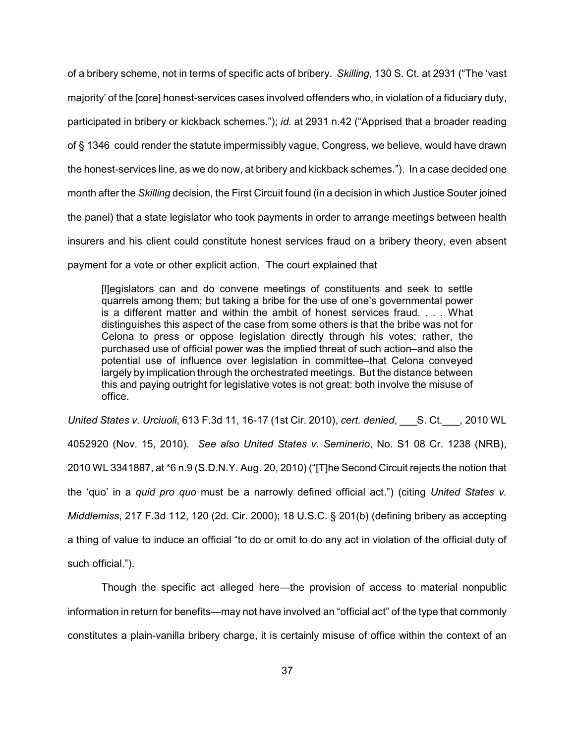of a bribery scheme, not in terms of specific acts of bribery. *Skilling*, 130 S. Ct. at 2931 ("The 'vast majority' of the [core] honest-services cases involved offenders who, in violation of a fiduciary duty, participated in bribery or kickback schemes."); *id.* at 2931 n.42 ("Apprised that a broader reading of § 1346 could render the statute impermissibly vague, Congress, we believe, would have drawn the honest-services line, as we do now, at bribery and kickback schemes."). In a case decided one month after the *Skilling* decision, the First Circuit found (in a decision in which Justice Souter joined the panel) that a state legislator who took payments in order to arrange meetings between health insurers and his client could constitute honest services fraud on a bribery theory, even absent payment for a vote or other explicit action. The court explained that

[l]egislators can and do convene meetings of constituents and seek to settle quarrels among them; but taking a bribe for the use of one's governmental power is a different matter and within the ambit of honest services fraud. . . . What distinguishes this aspect of the case from some others is that the bribe was not for Celona to press or oppose legislation directly through his votes; rather, the purchased use of official power was the implied threat of such action–and also the potential use of influence over legislation in committee–that Celona conveyed largely by implication through the orchestrated meetings. But the distance between this and paying outright for legislative votes is not great: both involve the misuse of office.

*United States v. Urciuoli*, 613 F.3d 11, 16-17 (1st Cir. 2010), *cert. denied*, \_\_\_S. Ct.\_\_\_, 2010 WL 4052920 (Nov. 15, 2010). *See also United States v. Seminerio*, No. S1 08 Cr. 1238 (NRB), 2010 WL 3341887, at \*6 n.9 (S.D.N.Y. Aug. 20, 2010) ("[T]he Second Circuit rejects the notion that the 'quo' in a *quid pro quo* must be a narrowly defined official act.") (citing *United States v. Middlemiss*, 217 F.3d 112, 120 (2d. Cir. 2000); 18 U.S.C. § 201(b) (defining bribery as accepting a thing of value to induce an official "to do or omit to do any act in violation of the official duty of such official.").

Though the specific act alleged here—the provision of access to material nonpublic information in return for benefits—may not have involved an "official act" of the type that commonly constitutes a plain-vanilla bribery charge, it is certainly misuse of office within the context of an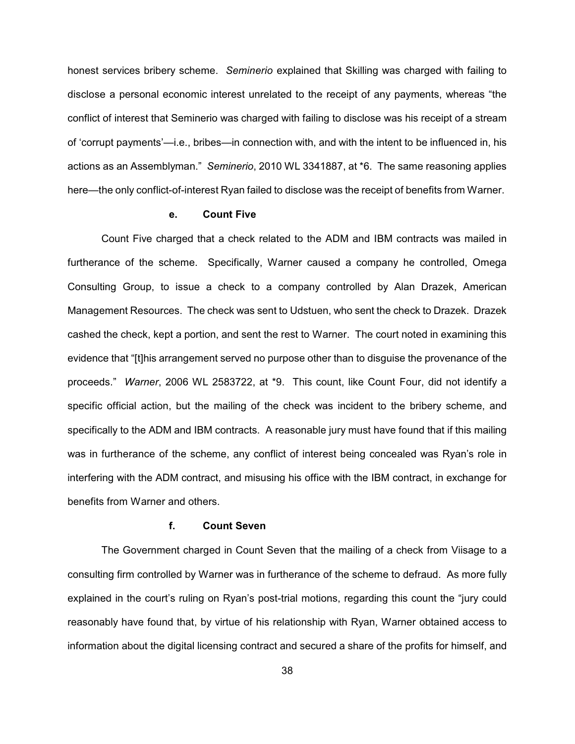honest services bribery scheme. *Seminerio* explained that Skilling was charged with failing to disclose a personal economic interest unrelated to the receipt of any payments, whereas "the conflict of interest that Seminerio was charged with failing to disclose was his receipt of a stream of 'corrupt payments'—i.e., bribes—in connection with, and with the intent to be influenced in, his actions as an Assemblyman." *Seminerio*, 2010 WL 3341887, at \*6. The same reasoning applies here—the only conflict-of-interest Ryan failed to disclose was the receipt of benefits from Warner.

### **e. Count Five**

Count Five charged that a check related to the ADM and IBM contracts was mailed in furtherance of the scheme. Specifically, Warner caused a company he controlled, Omega Consulting Group, to issue a check to a company controlled by Alan Drazek, American Management Resources. The check was sent to Udstuen, who sent the check to Drazek. Drazek cashed the check, kept a portion, and sent the rest to Warner. The court noted in examining this evidence that "[t]his arrangement served no purpose other than to disguise the provenance of the proceeds." *Warner*, 2006 WL 2583722, at \*9. This count, like Count Four, did not identify a specific official action, but the mailing of the check was incident to the bribery scheme, and specifically to the ADM and IBM contracts. A reasonable jury must have found that if this mailing was in furtherance of the scheme, any conflict of interest being concealed was Ryan's role in interfering with the ADM contract, and misusing his office with the IBM contract, in exchange for benefits from Warner and others.

#### **f. Count Seven**

The Government charged in Count Seven that the mailing of a check from Viisage to a consulting firm controlled by Warner was in furtherance of the scheme to defraud. As more fully explained in the court's ruling on Ryan's post-trial motions, regarding this count the "jury could reasonably have found that, by virtue of his relationship with Ryan, Warner obtained access to information about the digital licensing contract and secured a share of the profits for himself, and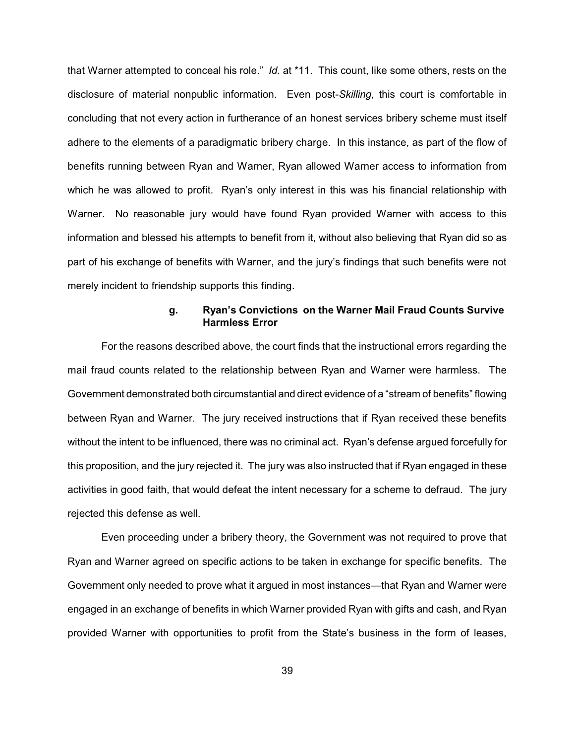that Warner attempted to conceal his role." *Id.* at \*11. This count, like some others, rests on the disclosure of material nonpublic information. Even post-*Skilling*, this court is comfortable in concluding that not every action in furtherance of an honest services bribery scheme must itself adhere to the elements of a paradigmatic bribery charge. In this instance, as part of the flow of benefits running between Ryan and Warner, Ryan allowed Warner access to information from which he was allowed to profit. Ryan's only interest in this was his financial relationship with Warner. No reasonable jury would have found Ryan provided Warner with access to this information and blessed his attempts to benefit from it, without also believing that Ryan did so as part of his exchange of benefits with Warner, and the jury's findings that such benefits were not merely incident to friendship supports this finding.

# **g. Ryan's Convictions on the Warner Mail Fraud Counts Survive Harmless Error**

For the reasons described above, the court finds that the instructional errors regarding the mail fraud counts related to the relationship between Ryan and Warner were harmless. The Government demonstrated both circumstantial and direct evidence of a "stream of benefits" flowing between Ryan and Warner. The jury received instructions that if Ryan received these benefits without the intent to be influenced, there was no criminal act. Ryan's defense argued forcefully for this proposition, and the jury rejected it. The jury was also instructed that if Ryan engaged in these activities in good faith, that would defeat the intent necessary for a scheme to defraud. The jury rejected this defense as well.

Even proceeding under a bribery theory, the Government was not required to prove that Ryan and Warner agreed on specific actions to be taken in exchange for specific benefits. The Government only needed to prove what it argued in most instances—that Ryan and Warner were engaged in an exchange of benefits in which Warner provided Ryan with gifts and cash, and Ryan provided Warner with opportunities to profit from the State's business in the form of leases,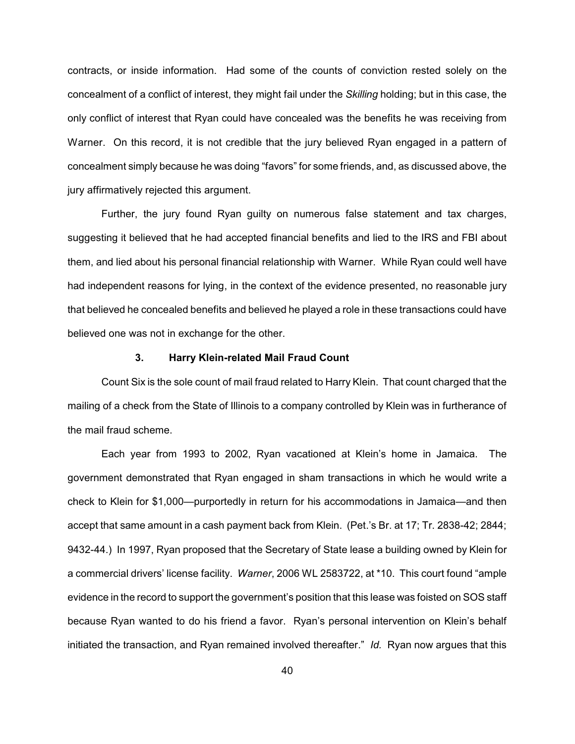contracts, or inside information. Had some of the counts of conviction rested solely on the concealment of a conflict of interest, they might fail under the *Skilling* holding; but in this case, the only conflict of interest that Ryan could have concealed was the benefits he was receiving from Warner. On this record, it is not credible that the jury believed Ryan engaged in a pattern of concealment simply because he was doing "favors" for some friends, and, as discussed above, the jury affirmatively rejected this argument.

Further, the jury found Ryan guilty on numerous false statement and tax charges, suggesting it believed that he had accepted financial benefits and lied to the IRS and FBI about them, and lied about his personal financial relationship with Warner. While Ryan could well have had independent reasons for lying, in the context of the evidence presented, no reasonable jury that believed he concealed benefits and believed he played a role in these transactions could have believed one was not in exchange for the other.

## **3. Harry Klein-related Mail Fraud Count**

Count Six is the sole count of mail fraud related to Harry Klein. That count charged that the mailing of a check from the State of Illinois to a company controlled by Klein was in furtherance of the mail fraud scheme.

Each year from 1993 to 2002, Ryan vacationed at Klein's home in Jamaica. The government demonstrated that Ryan engaged in sham transactions in which he would write a check to Klein for \$1,000—purportedly in return for his accommodations in Jamaica—and then accept that same amount in a cash payment back from Klein. (Pet.'s Br. at 17; Tr. 2838-42; 2844; 9432-44.) In 1997, Ryan proposed that the Secretary of State lease a building owned by Klein for a commercial drivers' license facility. *Warner*, 2006 WL 2583722, at \*10. This court found "ample evidence in the record to support the government's position that this lease was foisted on SOS staff because Ryan wanted to do his friend a favor. Ryan's personal intervention on Klein's behalf initiated the transaction, and Ryan remained involved thereafter." *Id.* Ryan now argues that this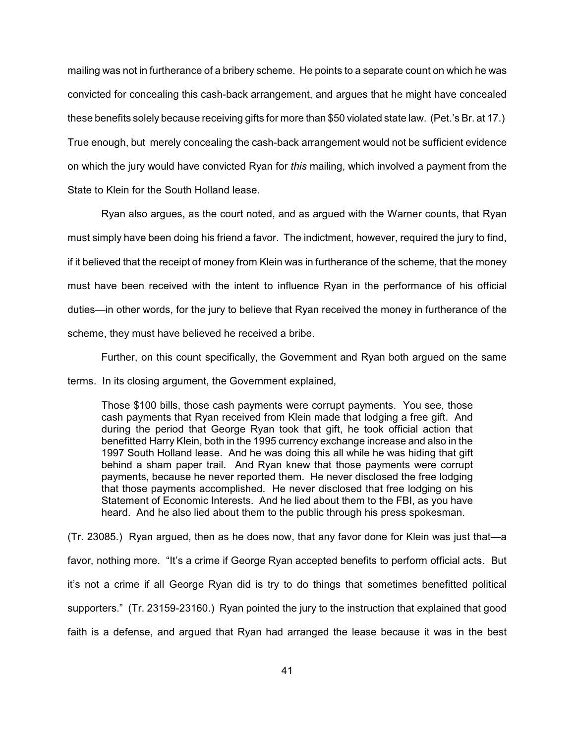mailing was not in furtherance of a bribery scheme. He points to a separate count on which he was convicted for concealing this cash-back arrangement, and argues that he might have concealed these benefits solely because receiving gifts for more than \$50 violated state law. (Pet.'s Br. at 17.) True enough, but merely concealing the cash-back arrangement would not be sufficient evidence on which the jury would have convicted Ryan for *this* mailing, which involved a payment from the State to Klein for the South Holland lease.

Ryan also argues, as the court noted, and as argued with the Warner counts, that Ryan must simply have been doing his friend a favor. The indictment, however, required the jury to find, if it believed that the receipt of money from Klein was in furtherance of the scheme, that the money must have been received with the intent to influence Ryan in the performance of his official duties—in other words, for the jury to believe that Ryan received the money in furtherance of the scheme, they must have believed he received a bribe.

Further, on this count specifically, the Government and Ryan both argued on the same terms. In its closing argument, the Government explained,

Those \$100 bills, those cash payments were corrupt payments. You see, those cash payments that Ryan received from Klein made that lodging a free gift. And during the period that George Ryan took that gift, he took official action that benefitted Harry Klein, both in the 1995 currency exchange increase and also in the 1997 South Holland lease. And he was doing this all while he was hiding that gift behind a sham paper trail. And Ryan knew that those payments were corrupt payments, because he never reported them. He never disclosed the free lodging that those payments accomplished. He never disclosed that free lodging on his Statement of Economic Interests. And he lied about them to the FBI, as you have heard. And he also lied about them to the public through his press spokesman.

(Tr. 23085.) Ryan argued, then as he does now, that any favor done for Klein was just that—a favor, nothing more. "It's a crime if George Ryan accepted benefits to perform official acts. But it's not a crime if all George Ryan did is try to do things that sometimes benefitted political supporters." (Tr. 23159-23160.) Ryan pointed the jury to the instruction that explained that good faith is a defense, and argued that Ryan had arranged the lease because it was in the best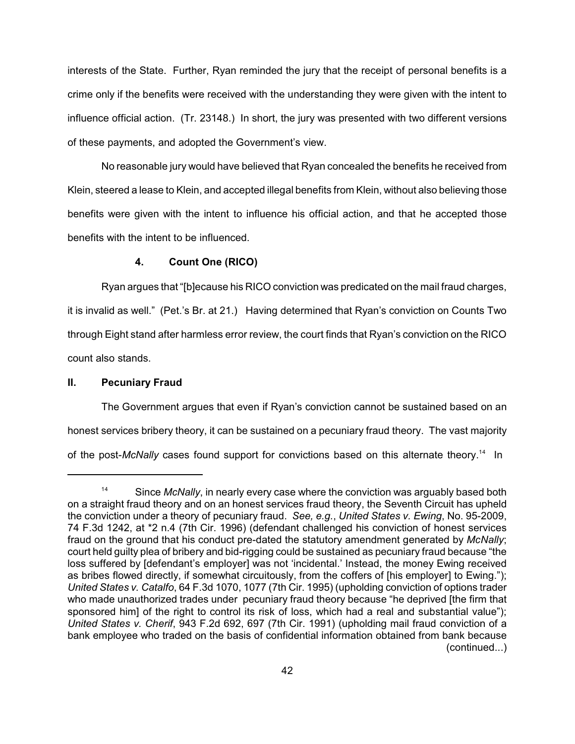interests of the State. Further, Ryan reminded the jury that the receipt of personal benefits is a crime only if the benefits were received with the understanding they were given with the intent to influence official action. (Tr. 23148.) In short, the jury was presented with two different versions of these payments, and adopted the Government's view.

No reasonable jury would have believed that Ryan concealed the benefits he received from Klein, steered a lease to Klein, and accepted illegal benefits from Klein, without also believing those benefits were given with the intent to influence his official action, and that he accepted those benefits with the intent to be influenced.

## **4. Count One (RICO)**

Ryan argues that "[b]ecause his RICO conviction was predicated on the mail fraud charges, it is invalid as well." (Pet.'s Br. at 21.) Having determined that Ryan's conviction on Counts Two through Eight stand after harmless error review, the court finds that Ryan's conviction on the RICO count also stands.

### **II. Pecuniary Fraud**

The Government argues that even if Ryan's conviction cannot be sustained based on an honest services bribery theory, it can be sustained on a pecuniary fraud theory. The vast majority of the post-*McNally* cases found support for convictions based on this alternate theory.<sup>14</sup> In

<sup>&</sup>lt;sup>14</sup> Since *McNally*, in nearly every case where the conviction was arguably based both on a straight fraud theory and on an honest services fraud theory, the Seventh Circuit has upheld the conviction under a theory of pecuniary fraud. *See, e.g.*, *United States v. Ewing*, No. 95-2009, 74 F.3d 1242, at \*2 n.4 (7th Cir. 1996) (defendant challenged his conviction of honest services fraud on the ground that his conduct pre-dated the statutory amendment generated by *McNally*; court held guilty plea of bribery and bid-rigging could be sustained as pecuniary fraud because "the loss suffered by [defendant's employer] was not 'incidental.' Instead, the money Ewing received as bribes flowed directly, if somewhat circuitously, from the coffers of [his employer] to Ewing."); *United States v. Catalfo*, 64 F.3d 1070, 1077 (7th Cir. 1995) (upholding conviction of options trader who made unauthorized trades under pecuniary fraud theory because "he deprived [the firm that sponsored him] of the right to control its risk of loss, which had a real and substantial value"); *United States v. Cherif*, 943 F.2d 692, 697 (7th Cir. 1991) (upholding mail fraud conviction of a bank employee who traded on the basis of confidential information obtained from bank because (continued...)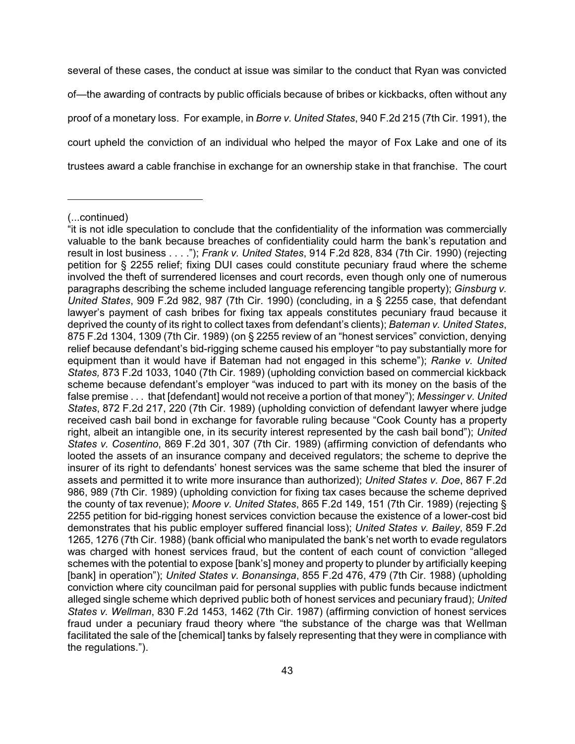several of these cases, the conduct at issue was similar to the conduct that Ryan was convicted of—the awarding of contracts by public officials because of bribes or kickbacks, often without any proof of a monetary loss. For example, in *Borre v. United States*, 940 F.2d 215 (7th Cir. 1991), the court upheld the conviction of an individual who helped the mayor of Fox Lake and one of its trustees award a cable franchise in exchange for an ownership stake in that franchise. The court

<sup>(...</sup>continued)

<sup>&</sup>quot;it is not idle speculation to conclude that the confidentiality of the information was commercially valuable to the bank because breaches of confidentiality could harm the bank's reputation and result in lost business . . . ."); *Frank v. United States*, 914 F.2d 828, 834 (7th Cir. 1990) (rejecting petition for § 2255 relief; fixing DUI cases could constitute pecuniary fraud where the scheme involved the theft of surrendered licenses and court records, even though only one of numerous paragraphs describing the scheme included language referencing tangible property); *Ginsburg v. United States*, 909 F.2d 982, 987 (7th Cir. 1990) (concluding, in a § 2255 case, that defendant lawyer's payment of cash bribes for fixing tax appeals constitutes pecuniary fraud because it deprived the county of its right to collect taxes from defendant's clients); *Bateman v. United States*, 875 F.2d 1304, 1309 (7th Cir. 1989) (on § 2255 review of an "honest services" conviction, denying relief because defendant's bid-rigging scheme caused his employer "to pay substantially more for equipment than it would have if Bateman had not engaged in this scheme"); *Ranke v. United States,* 873 F.2d 1033, 1040 (7th Cir. 1989) (upholding conviction based on commercial kickback scheme because defendant's employer "was induced to part with its money on the basis of the false premise . . . that [defendant] would not receive a portion of that money"); *Messinger v. United States*, 872 F.2d 217, 220 (7th Cir. 1989) (upholding conviction of defendant lawyer where judge received cash bail bond in exchange for favorable ruling because "Cook County has a property right, albeit an intangible one, in its security interest represented by the cash bail bond"); *United States v. Cosentino*, 869 F.2d 301, 307 (7th Cir. 1989) (affirming conviction of defendants who looted the assets of an insurance company and deceived regulators; the scheme to deprive the insurer of its right to defendants' honest services was the same scheme that bled the insurer of assets and permitted it to write more insurance than authorized); *United States v. Doe*, 867 F.2d 986, 989 (7th Cir. 1989) (upholding conviction for fixing tax cases because the scheme deprived the county of tax revenue); *Moore v. United States*, 865 F.2d 149, 151 (7th Cir. 1989) (rejecting § 2255 petition for bid-rigging honest services conviction because the existence of a lower-cost bid demonstrates that his public employer suffered financial loss); *United States v. Bailey*, 859 F.2d 1265, 1276 (7th Cir. 1988) (bank official who manipulated the bank's net worth to evade regulators was charged with honest services fraud, but the content of each count of conviction "alleged schemes with the potential to expose [bank's] money and property to plunder by artificially keeping [bank] in operation"); *United States v. Bonansinga*, 855 F.2d 476, 479 (7th Cir. 1988) (upholding conviction where city councilman paid for personal supplies with public funds because indictment alleged single scheme which deprived public both of honest services and pecuniary fraud); *United States v. Wellman*, 830 F.2d 1453, 1462 (7th Cir. 1987) (affirming conviction of honest services fraud under a pecuniary fraud theory where "the substance of the charge was that Wellman facilitated the sale of the [chemical] tanks by falsely representing that they were in compliance with the regulations.").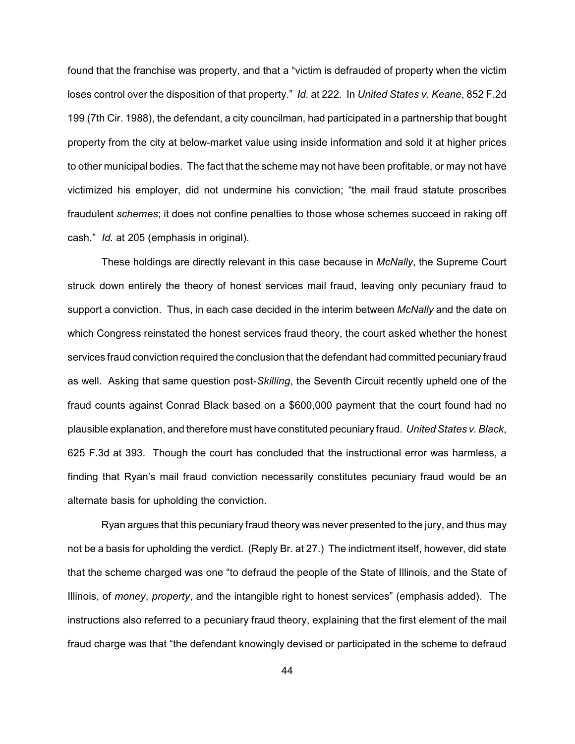found that the franchise was property, and that a "victim is defrauded of property when the victim loses control over the disposition of that property." *Id.* at 222. In *United States v. Keane*, 852 F.2d 199 (7th Cir. 1988), the defendant, a city councilman, had participated in a partnership that bought property from the city at below-market value using inside information and sold it at higher prices to other municipal bodies. The fact that the scheme may not have been profitable, or may not have victimized his employer, did not undermine his conviction; "the mail fraud statute proscribes fraudulent *schemes*; it does not confine penalties to those whose schemes succeed in raking off cash." *Id.* at 205 (emphasis in original).

These holdings are directly relevant in this case because in *McNally*, the Supreme Court struck down entirely the theory of honest services mail fraud, leaving only pecuniary fraud to support a conviction. Thus, in each case decided in the interim between *McNally* and the date on which Congress reinstated the honest services fraud theory, the court asked whether the honest services fraud conviction required the conclusion that the defendant had committed pecuniary fraud as well. Asking that same question post-*Skilling*, the Seventh Circuit recently upheld one of the fraud counts against Conrad Black based on a \$600,000 payment that the court found had no plausible explanation, and therefore must have constituted pecuniary fraud. *United States v. Black*, 625 F.3d at 393. Though the court has concluded that the instructional error was harmless, a finding that Ryan's mail fraud conviction necessarily constitutes pecuniary fraud would be an alternate basis for upholding the conviction.

Ryan argues that this pecuniary fraud theory was never presented to the jury, and thus may not be a basis for upholding the verdict. (Reply Br. at 27.) The indictment itself, however, did state that the scheme charged was one "to defraud the people of the State of Illinois, and the State of Illinois, of *money*, *property*, and the intangible right to honest services" (emphasis added). The instructions also referred to a pecuniary fraud theory, explaining that the first element of the mail fraud charge was that "the defendant knowingly devised or participated in the scheme to defraud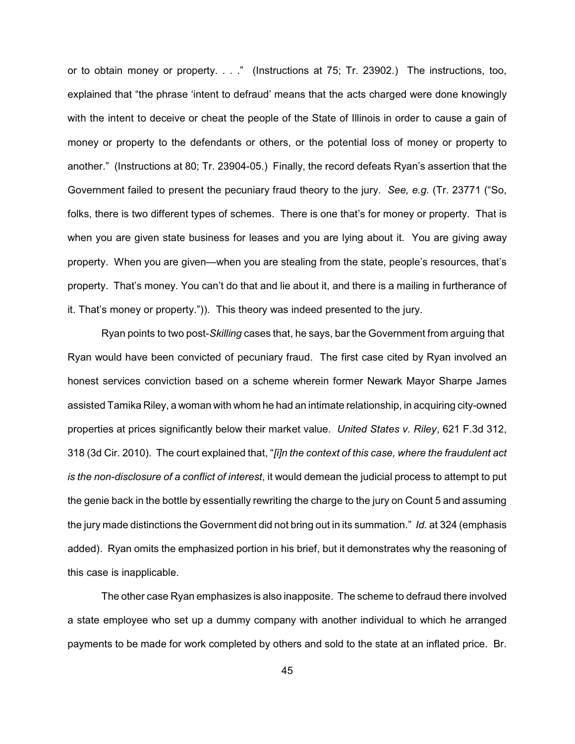or to obtain money or property. . . ." (Instructions at 75; Tr. 23902.) The instructions, too, explained that "the phrase 'intent to defraud' means that the acts charged were done knowingly with the intent to deceive or cheat the people of the State of Illinois in order to cause a gain of money or property to the defendants or others, or the potential loss of money or property to another." (Instructions at 80; Tr. 23904-05.) Finally, the record defeats Ryan's assertion that the Government failed to present the pecuniary fraud theory to the jury. *See, e.g.* (Tr. 23771 ("So, folks, there is two different types of schemes. There is one that's for money or property. That is when you are given state business for leases and you are lying about it. You are giving away property. When you are given—when you are stealing from the state, people's resources, that's property. That's money. You can't do that and lie about it, and there is a mailing in furtherance of it. That's money or property.")). This theory was indeed presented to the jury.

Ryan points to two post-*Skilling* cases that, he says, bar the Government from arguing that Ryan would have been convicted of pecuniary fraud. The first case cited by Ryan involved an honest services conviction based on a scheme wherein former Newark Mayor Sharpe James assisted Tamika Riley, a woman with whom he had an intimate relationship, in acquiring city-owned properties at prices significantly below their market value. *United States v. Riley*, 621 F.3d 312, 318 (3d Cir. 2010). The court explained that, "*[i]n the context of this case, where the fraudulent act is the non-disclosure of a conflict of interest*, it would demean the judicial process to attempt to put the genie back in the bottle by essentially rewriting the charge to the jury on Count 5 and assuming the jury made distinctions the Government did not bring out in its summation." *Id.* at 324 (emphasis added). Ryan omits the emphasized portion in his brief, but it demonstrates why the reasoning of this case is inapplicable.

The other case Ryan emphasizes is also inapposite. The scheme to defraud there involved a state employee who set up a dummy company with another individual to which he arranged payments to be made for work completed by others and sold to the state at an inflated price. Br.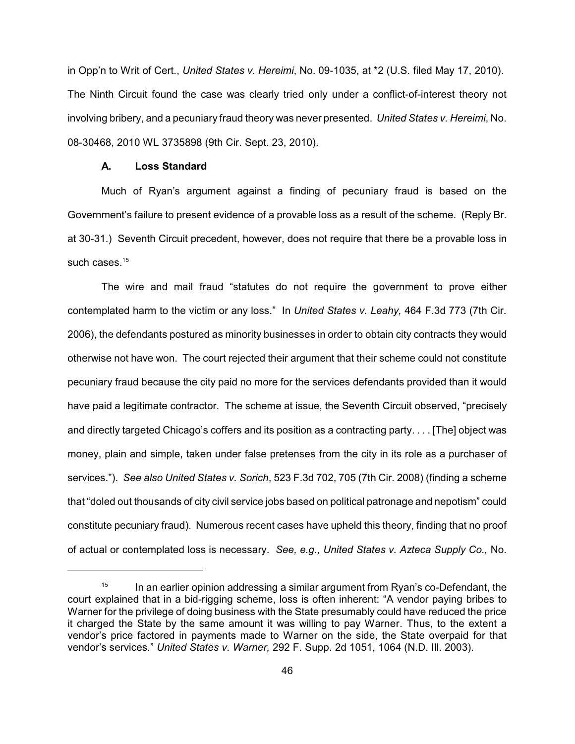in Opp'n to Writ of Cert., *United States v. Hereimi*, No. 09-1035, at \*2 (U.S. filed May 17, 2010). The Ninth Circuit found the case was clearly tried only under a conflict-of-interest theory not involving bribery, and a pecuniary fraud theory was never presented. *United States v. Hereimi*, No. 08-30468, 2010 WL 3735898 (9th Cir. Sept. 23, 2010).

#### **A. Loss Standard**

Much of Ryan's argument against a finding of pecuniary fraud is based on the Government's failure to present evidence of a provable loss as a result of the scheme. (Reply Br. at 30-31.) Seventh Circuit precedent, however, does not require that there be a provable loss in such cases. 15

The wire and mail fraud "statutes do not require the government to prove either contemplated harm to the victim or any loss." In *United States v. Leahy,* 464 F.3d 773 (7th Cir. 2006), the defendants postured as minority businesses in order to obtain city contracts they would otherwise not have won. The court rejected their argument that their scheme could not constitute pecuniary fraud because the city paid no more for the services defendants provided than it would have paid a legitimate contractor. The scheme at issue, the Seventh Circuit observed, "precisely and directly targeted Chicago's coffers and its position as a contracting party. . . . [The] object was money, plain and simple, taken under false pretenses from the city in its role as a purchaser of services."). *See also United States v. Sorich*, 523 F.3d 702, 705 (7th Cir. 2008) (finding a scheme that "doled out thousands of city civil service jobs based on political patronage and nepotism" could constitute pecuniary fraud). Numerous recent cases have upheld this theory, finding that no proof of actual or contemplated loss is necessary. *See, e.g., United States v. Azteca Supply Co.,* No.

 $15$  In an earlier opinion addressing a similar argument from Ryan's co-Defendant, the court explained that in a bid-rigging scheme, loss is often inherent: "A vendor paying bribes to Warner for the privilege of doing business with the State presumably could have reduced the price it charged the State by the same amount it was willing to pay Warner. Thus, to the extent a vendor's price factored in payments made to Warner on the side, the State overpaid for that vendor's services." *United States v. Warner,* 292 F. Supp. 2d 1051, 1064 (N.D. Ill. 2003).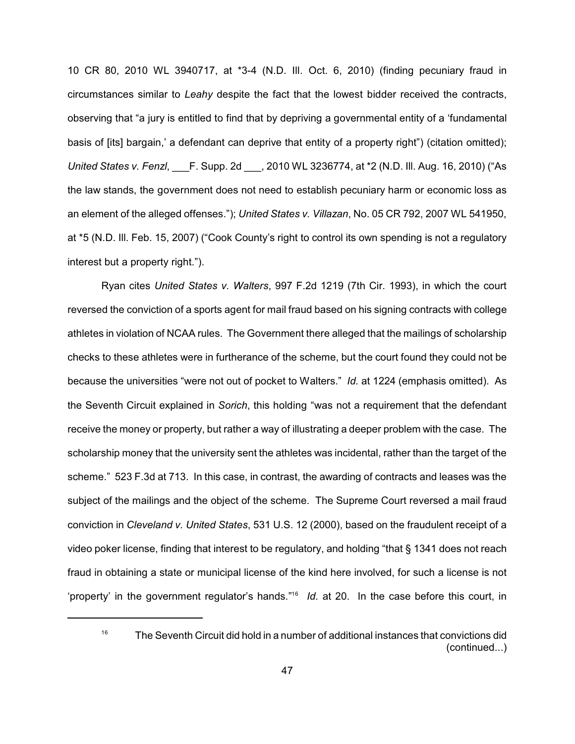10 CR 80, 2010 WL 3940717, at \*3-4 (N.D. Ill. Oct. 6, 2010) (finding pecuniary fraud in circumstances similar to *Leahy* despite the fact that the lowest bidder received the contracts, observing that "a jury is entitled to find that by depriving a governmental entity of a 'fundamental basis of [its] bargain,' a defendant can deprive that entity of a property right") (citation omitted); *United States v. Fenzl*, \_\_\_F. Supp. 2d \_\_\_, 2010 WL 3236774, at \*2 (N.D. Ill. Aug. 16, 2010) ("As the law stands, the government does not need to establish pecuniary harm or economic loss as an element of the alleged offenses."); *United States v. Villazan*, No. 05 CR 792, 2007 WL 541950, at \*5 (N.D. Ill. Feb. 15, 2007) ("Cook County's right to control its own spending is not a regulatory interest but a property right.").

Ryan cites *United States v. Walters*, 997 F.2d 1219 (7th Cir. 1993), in which the court reversed the conviction of a sports agent for mail fraud based on his signing contracts with college athletes in violation of NCAA rules. The Government there alleged that the mailings of scholarship checks to these athletes were in furtherance of the scheme, but the court found they could not be because the universities "were not out of pocket to Walters." *Id.* at 1224 (emphasis omitted). As the Seventh Circuit explained in *Sorich*, this holding "was not a requirement that the defendant receive the money or property, but rather a way of illustrating a deeper problem with the case. The scholarship money that the university sent the athletes was incidental, rather than the target of the scheme." 523 F.3d at 713. In this case, in contrast, the awarding of contracts and leases was the subject of the mailings and the object of the scheme. The Supreme Court reversed a mail fraud conviction in *Cleveland v. United States*, 531 U.S. 12 (2000), based on the fraudulent receipt of a video poker license, finding that interest to be regulatory, and holding "that § 1341 does not reach fraud in obtaining a state or municipal license of the kind here involved, for such a license is not 'property' in the government regulator's hands."<sup>16</sup> Id. at 20. In the case before this court, in

 $16$  The Seventh Circuit did hold in a number of additional instances that convictions did (continued...)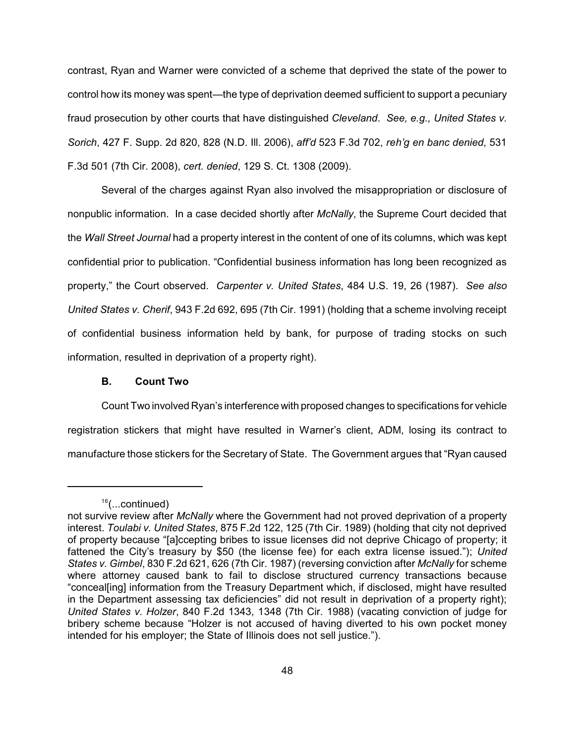contrast, Ryan and Warner were convicted of a scheme that deprived the state of the power to control how its money was spent—the type of deprivation deemed sufficient to support a pecuniary fraud prosecution by other courts that have distinguished *Cleveland*. *See, e.g., United States v. Sorich*, 427 F. Supp. 2d 820, 828 (N.D. Ill. 2006), *aff'd* 523 F.3d 702, *reh'g en banc denied*, 531 F.3d 501 (7th Cir. 2008), *cert. denied*, 129 S. Ct. 1308 (2009).

Several of the charges against Ryan also involved the misappropriation or disclosure of nonpublic information. In a case decided shortly after *McNally*, the Supreme Court decided that the *Wall Street Journal* had a property interest in the content of one of its columns, which was kept confidential prior to publication. "Confidential business information has long been recognized as property," the Court observed. *Carpenter v. United States*, 484 U.S. 19, 26 (1987). *See also United States v. Cherif*, 943 F.2d 692, 695 (7th Cir. 1991) (holding that a scheme involving receipt of confidential business information held by bank, for purpose of trading stocks on such information, resulted in deprivation of a property right).

#### **B. Count Two**

Count Two involved Ryan's interference with proposed changes to specifications for vehicle registration stickers that might have resulted in Warner's client, ADM, losing its contract to manufacture those stickers for the Secretary of State. The Government argues that "Ryan caused

<sup>&</sup>lt;sup>16</sup>(...continued)

not survive review after *McNally* where the Government had not proved deprivation of a property interest. *Toulabi v. United States*, 875 F.2d 122, 125 (7th Cir. 1989) (holding that city not deprived of property because "[a]ccepting bribes to issue licenses did not deprive Chicago of property; it fattened the City's treasury by \$50 (the license fee) for each extra license issued."); *United States v. Gimbel*, 830 F.2d 621, 626 (7th Cir. 1987) (reversing conviction after *McNally* for scheme where attorney caused bank to fail to disclose structured currency transactions because "conceal[ing] information from the Treasury Department which, if disclosed, might have resulted in the Department assessing tax deficiencies" did not result in deprivation of a property right); *United States v. Holzer*, 840 F.2d 1343, 1348 (7th Cir. 1988) (vacating conviction of judge for bribery scheme because "Holzer is not accused of having diverted to his own pocket money intended for his employer; the State of Illinois does not sell justice.").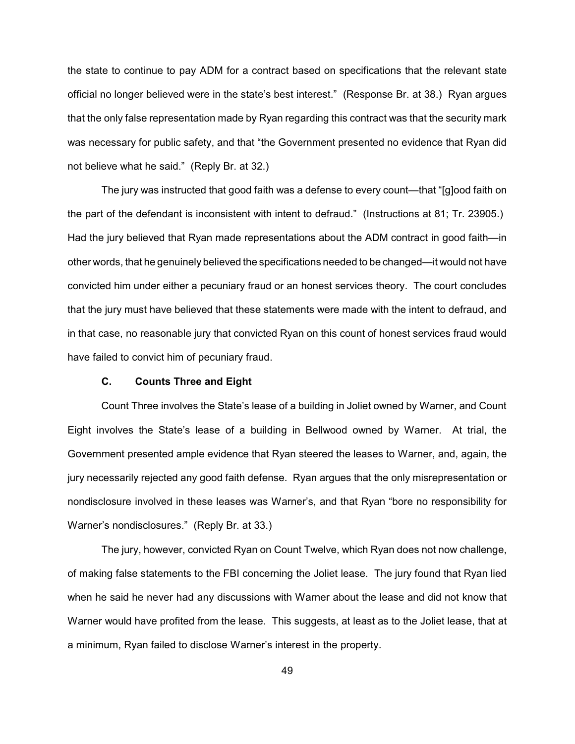the state to continue to pay ADM for a contract based on specifications that the relevant state official no longer believed were in the state's best interest." (Response Br. at 38.) Ryan argues that the only false representation made by Ryan regarding this contract was that the security mark was necessary for public safety, and that "the Government presented no evidence that Ryan did not believe what he said." (Reply Br. at 32.)

The jury was instructed that good faith was a defense to every count—that "[g]ood faith on the part of the defendant is inconsistent with intent to defraud." (Instructions at 81; Tr. 23905.) Had the jury believed that Ryan made representations about the ADM contract in good faith—in other words, that he genuinely believed the specifications needed to be changed—it would not have convicted him under either a pecuniary fraud or an honest services theory. The court concludes that the jury must have believed that these statements were made with the intent to defraud, and in that case, no reasonable jury that convicted Ryan on this count of honest services fraud would have failed to convict him of pecuniary fraud.

## **C. Counts Three and Eight**

Count Three involves the State's lease of a building in Joliet owned by Warner, and Count Eight involves the State's lease of a building in Bellwood owned by Warner. At trial, the Government presented ample evidence that Ryan steered the leases to Warner, and, again, the jury necessarily rejected any good faith defense. Ryan argues that the only misrepresentation or nondisclosure involved in these leases was Warner's, and that Ryan "bore no responsibility for Warner's nondisclosures." (Reply Br. at 33.)

The jury, however, convicted Ryan on Count Twelve, which Ryan does not now challenge, of making false statements to the FBI concerning the Joliet lease. The jury found that Ryan lied when he said he never had any discussions with Warner about the lease and did not know that Warner would have profited from the lease. This suggests, at least as to the Joliet lease, that at a minimum, Ryan failed to disclose Warner's interest in the property.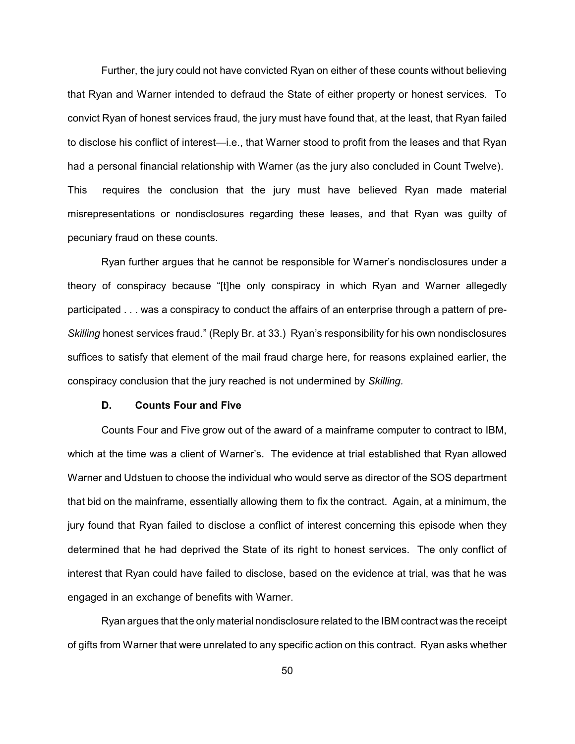Further, the jury could not have convicted Ryan on either of these counts without believing that Ryan and Warner intended to defraud the State of either property or honest services. To convict Ryan of honest services fraud, the jury must have found that, at the least, that Ryan failed to disclose his conflict of interest—i.e., that Warner stood to profit from the leases and that Ryan had a personal financial relationship with Warner (as the jury also concluded in Count Twelve). This requires the conclusion that the jury must have believed Ryan made material misrepresentations or nondisclosures regarding these leases, and that Ryan was guilty of pecuniary fraud on these counts.

Ryan further argues that he cannot be responsible for Warner's nondisclosures under a theory of conspiracy because "[t]he only conspiracy in which Ryan and Warner allegedly participated . . . was a conspiracy to conduct the affairs of an enterprise through a pattern of pre-*Skilling* honest services fraud." (Reply Br. at 33.) Ryan's responsibility for his own nondisclosures suffices to satisfy that element of the mail fraud charge here, for reasons explained earlier, the conspiracy conclusion that the jury reached is not undermined by *Skilling.* 

### **D. Counts Four and Five**

Counts Four and Five grow out of the award of a mainframe computer to contract to IBM, which at the time was a client of Warner's. The evidence at trial established that Ryan allowed Warner and Udstuen to choose the individual who would serve as director of the SOS department that bid on the mainframe, essentially allowing them to fix the contract. Again, at a minimum, the jury found that Ryan failed to disclose a conflict of interest concerning this episode when they determined that he had deprived the State of its right to honest services. The only conflict of interest that Ryan could have failed to disclose, based on the evidence at trial, was that he was engaged in an exchange of benefits with Warner.

Ryan argues that the only material nondisclosure related to the IBM contract was the receipt of gifts from Warner that were unrelated to any specific action on this contract. Ryan asks whether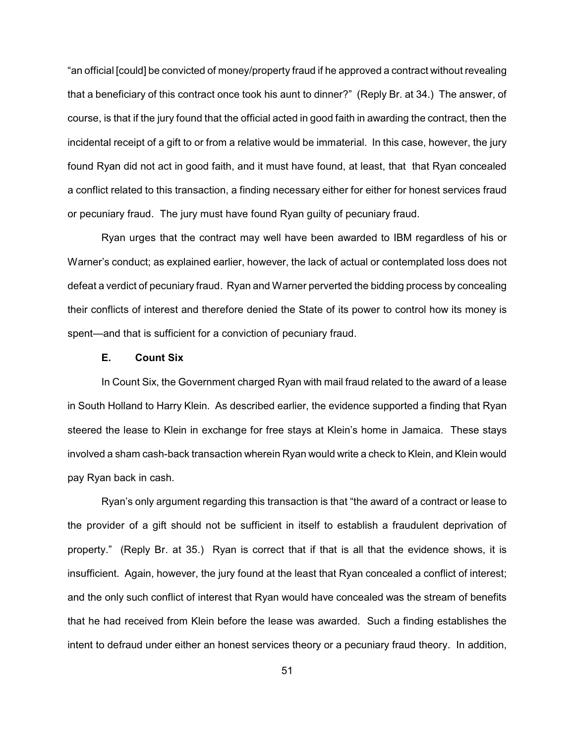"an official [could] be convicted of money/property fraud if he approved a contract without revealing that a beneficiary of this contract once took his aunt to dinner?" (Reply Br. at 34.) The answer, of course, is that if the jury found that the official acted in good faith in awarding the contract, then the incidental receipt of a gift to or from a relative would be immaterial. In this case, however, the jury found Ryan did not act in good faith, and it must have found, at least, that that Ryan concealed a conflict related to this transaction, a finding necessary either for either for honest services fraud or pecuniary fraud. The jury must have found Ryan guilty of pecuniary fraud.

Ryan urges that the contract may well have been awarded to IBM regardless of his or Warner's conduct; as explained earlier, however, the lack of actual or contemplated loss does not defeat a verdict of pecuniary fraud. Ryan and Warner perverted the bidding process by concealing their conflicts of interest and therefore denied the State of its power to control how its money is spent—and that is sufficient for a conviction of pecuniary fraud.

### **E. Count Six**

In Count Six, the Government charged Ryan with mail fraud related to the award of a lease in South Holland to Harry Klein. As described earlier, the evidence supported a finding that Ryan steered the lease to Klein in exchange for free stays at Klein's home in Jamaica. These stays involved a sham cash-back transaction wherein Ryan would write a check to Klein, and Klein would pay Ryan back in cash.

Ryan's only argument regarding this transaction is that "the award of a contract or lease to the provider of a gift should not be sufficient in itself to establish a fraudulent deprivation of property." (Reply Br. at 35.) Ryan is correct that if that is all that the evidence shows, it is insufficient. Again, however, the jury found at the least that Ryan concealed a conflict of interest; and the only such conflict of interest that Ryan would have concealed was the stream of benefits that he had received from Klein before the lease was awarded. Such a finding establishes the intent to defraud under either an honest services theory or a pecuniary fraud theory. In addition,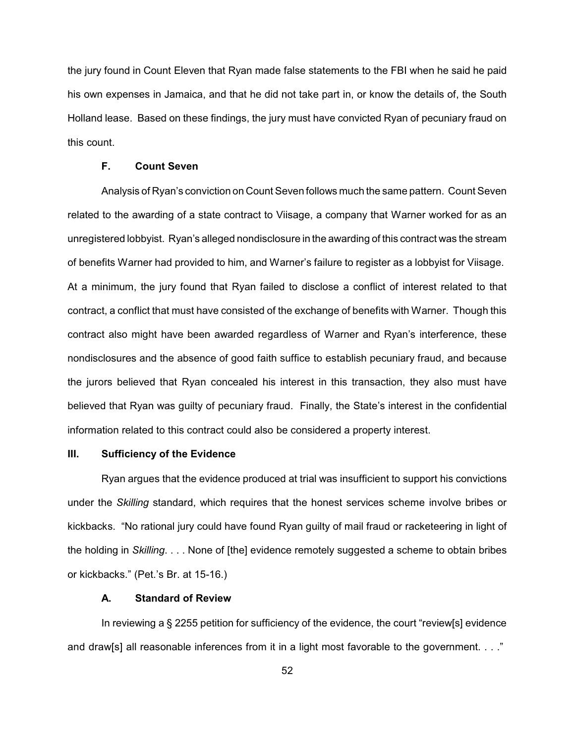the jury found in Count Eleven that Ryan made false statements to the FBI when he said he paid his own expenses in Jamaica, and that he did not take part in, or know the details of, the South Holland lease. Based on these findings, the jury must have convicted Ryan of pecuniary fraud on this count.

### **F. Count Seven**

Analysis of Ryan's conviction on Count Seven follows much the same pattern. Count Seven related to the awarding of a state contract to Viisage, a company that Warner worked for as an unregistered lobbyist. Ryan's alleged nondisclosure in the awarding of this contract was the stream of benefits Warner had provided to him, and Warner's failure to register as a lobbyist for Viisage. At a minimum, the jury found that Ryan failed to disclose a conflict of interest related to that contract, a conflict that must have consisted of the exchange of benefits with Warner. Though this contract also might have been awarded regardless of Warner and Ryan's interference, these nondisclosures and the absence of good faith suffice to establish pecuniary fraud, and because the jurors believed that Ryan concealed his interest in this transaction, they also must have believed that Ryan was guilty of pecuniary fraud. Finally, the State's interest in the confidential information related to this contract could also be considered a property interest.

### **III. Sufficiency of the Evidence**

Ryan argues that the evidence produced at trial was insufficient to support his convictions under the *Skilling* standard, which requires that the honest services scheme involve bribes or kickbacks. "No rational jury could have found Ryan guilty of mail fraud or racketeering in light of the holding in *Skilling*. . . . None of [the] evidence remotely suggested a scheme to obtain bribes or kickbacks." (Pet.'s Br. at 15-16.)

## **A. Standard of Review**

In reviewing a § 2255 petition for sufficiency of the evidence, the court "review[s] evidence and draw[s] all reasonable inferences from it in a light most favorable to the government. . . ."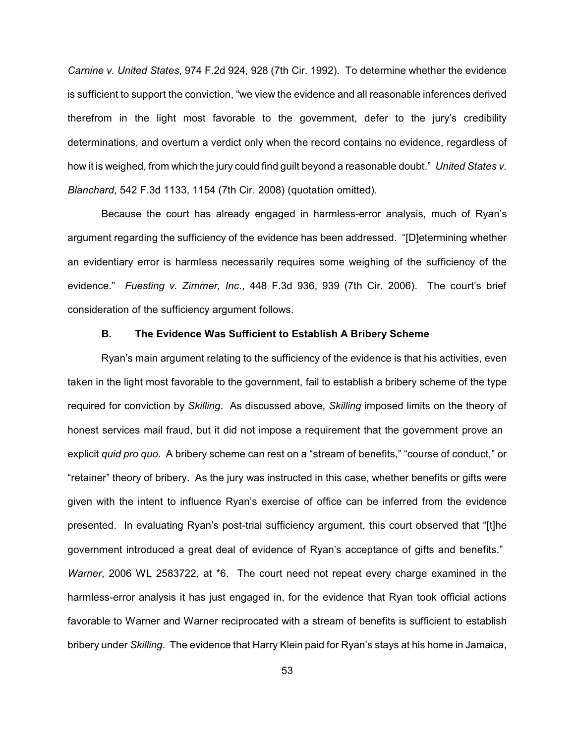*Carnine v. United States*, 974 F.2d 924, 928 (7th Cir. 1992). To determine whether the evidence is sufficient to support the conviction, "we view the evidence and all reasonable inferences derived therefrom in the light most favorable to the government, defer to the jury's credibility determinations, and overturn a verdict only when the record contains no evidence, regardless of how it is weighed, from which the jury could find guilt beyond a reasonable doubt." *United States v. Blanchard*, 542 F.3d 1133, 1154 (7th Cir. 2008) (quotation omitted).

Because the court has already engaged in harmless-error analysis, much of Ryan's argument regarding the sufficiency of the evidence has been addressed. "[D]etermining whether an evidentiary error is harmless necessarily requires some weighing of the sufficiency of the evidence." *Fuesting v. Zimmer, Inc.*, 448 F.3d 936, 939 (7th Cir. 2006). The court's brief consideration of the sufficiency argument follows.

#### **B. The Evidence Was Sufficient to Establish A Bribery Scheme**

Ryan's main argument relating to the sufficiency of the evidence is that his activities, even taken in the light most favorable to the government, fail to establish a bribery scheme of the type required for conviction by *Skilling*. As discussed above, *Skilling* imposed limits on the theory of honest services mail fraud, but it did not impose a requirement that the government prove an explicit *quid pro quo*. A bribery scheme can rest on a "stream of benefits," "course of conduct," or "retainer" theory of bribery. As the jury was instructed in this case, whether benefits or gifts were given with the intent to influence Ryan's exercise of office can be inferred from the evidence presented. In evaluating Ryan's post-trial sufficiency argument, this court observed that "[t]he government introduced a great deal of evidence of Ryan's acceptance of gifts and benefits." *Warner*, 2006 WL 2583722, at \*6. The court need not repeat every charge examined in the harmless-error analysis it has just engaged in, for the evidence that Ryan took official actions favorable to Warner and Warner reciprocated with a stream of benefits is sufficient to establish bribery under *Skilling*. The evidence that Harry Klein paid for Ryan's stays at his home in Jamaica,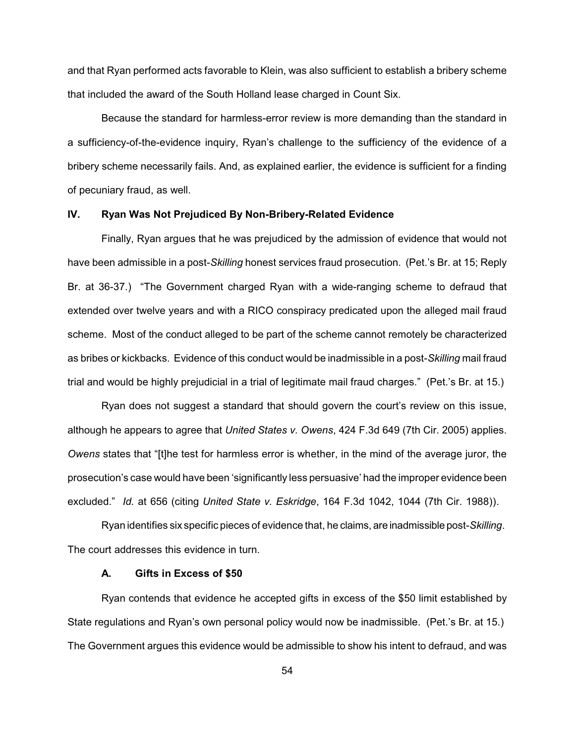and that Ryan performed acts favorable to Klein, was also sufficient to establish a bribery scheme that included the award of the South Holland lease charged in Count Six.

Because the standard for harmless-error review is more demanding than the standard in a sufficiency-of-the-evidence inquiry, Ryan's challenge to the sufficiency of the evidence of a bribery scheme necessarily fails. And, as explained earlier, the evidence is sufficient for a finding of pecuniary fraud, as well.

### **IV. Ryan Was Not Prejudiced By Non-Bribery-Related Evidence**

Finally, Ryan argues that he was prejudiced by the admission of evidence that would not have been admissible in a post-*Skilling* honest services fraud prosecution. (Pet.'s Br. at 15; Reply Br. at 36-37.) "The Government charged Ryan with a wide-ranging scheme to defraud that extended over twelve years and with a RICO conspiracy predicated upon the alleged mail fraud scheme. Most of the conduct alleged to be part of the scheme cannot remotely be characterized as bribes or kickbacks. Evidence of this conduct would be inadmissible in a post-*Skilling* mail fraud trial and would be highly prejudicial in a trial of legitimate mail fraud charges." (Pet.'s Br. at 15.)

Ryan does not suggest a standard that should govern the court's review on this issue, although he appears to agree that *United States v. Owens*, 424 F.3d 649 (7th Cir. 2005) applies. *Owens* states that "[t]he test for harmless error is whether, in the mind of the average juror, the prosecution's case would have been 'significantly less persuasive' had the improper evidence been excluded." *Id.* at 656 (citing *United State v. Eskridge*, 164 F.3d 1042, 1044 (7th Cir. 1988)).

Ryan identifies six specific pieces of evidence that, he claims, are inadmissible post-*Skilling*. The court addresses this evidence in turn.

### **A. Gifts in Excess of \$50**

Ryan contends that evidence he accepted gifts in excess of the \$50 limit established by State regulations and Ryan's own personal policy would now be inadmissible. (Pet.'s Br. at 15.) The Government argues this evidence would be admissible to show his intent to defraud, and was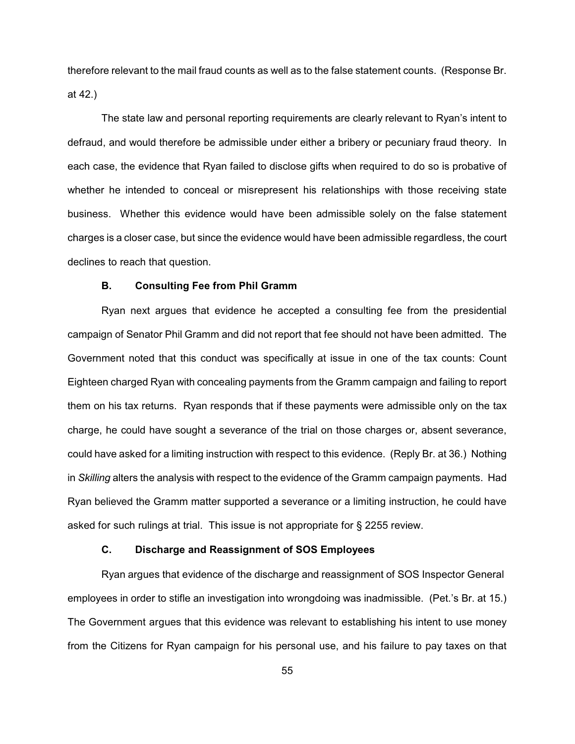therefore relevant to the mail fraud counts as well as to the false statement counts. (Response Br. at 42.)

The state law and personal reporting requirements are clearly relevant to Ryan's intent to defraud, and would therefore be admissible under either a bribery or pecuniary fraud theory. In each case, the evidence that Ryan failed to disclose gifts when required to do so is probative of whether he intended to conceal or misrepresent his relationships with those receiving state business. Whether this evidence would have been admissible solely on the false statement charges is a closer case, but since the evidence would have been admissible regardless, the court declines to reach that question.

# **B. Consulting Fee from Phil Gramm**

Ryan next argues that evidence he accepted a consulting fee from the presidential campaign of Senator Phil Gramm and did not report that fee should not have been admitted. The Government noted that this conduct was specifically at issue in one of the tax counts: Count Eighteen charged Ryan with concealing payments from the Gramm campaign and failing to report them on his tax returns. Ryan responds that if these payments were admissible only on the tax charge, he could have sought a severance of the trial on those charges or, absent severance, could have asked for a limiting instruction with respect to this evidence. (Reply Br. at 36.) Nothing in *Skilling* alters the analysis with respect to the evidence of the Gramm campaign payments. Had Ryan believed the Gramm matter supported a severance or a limiting instruction, he could have asked for such rulings at trial. This issue is not appropriate for § 2255 review.

### **C. Discharge and Reassignment of SOS Employees**

Ryan argues that evidence of the discharge and reassignment of SOS Inspector General employees in order to stifle an investigation into wrongdoing was inadmissible. (Pet.'s Br. at 15.) The Government argues that this evidence was relevant to establishing his intent to use money from the Citizens for Ryan campaign for his personal use, and his failure to pay taxes on that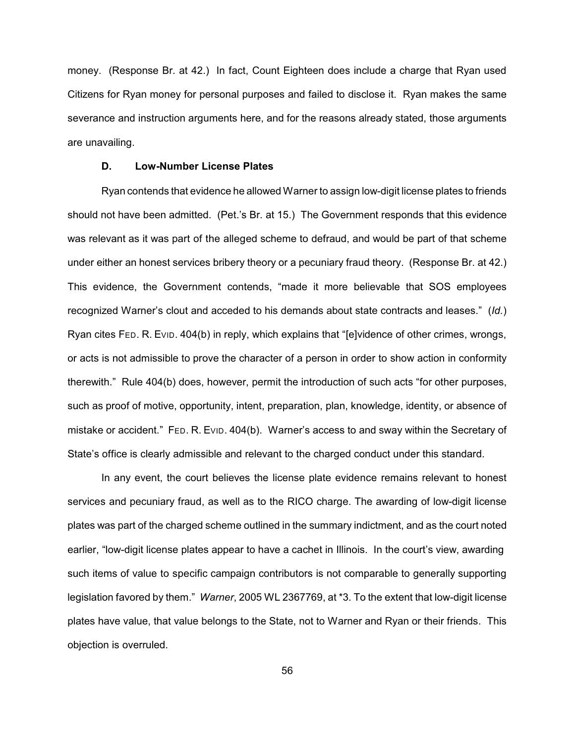money. (Response Br. at 42.) In fact, Count Eighteen does include a charge that Ryan used Citizens for Ryan money for personal purposes and failed to disclose it. Ryan makes the same severance and instruction arguments here, and for the reasons already stated, those arguments are unavailing.

### **D. Low-Number License Plates**

Ryan contends that evidence he allowed Warner to assign low-digit license plates to friends should not have been admitted. (Pet.'s Br. at 15.) The Government responds that this evidence was relevant as it was part of the alleged scheme to defraud, and would be part of that scheme under either an honest services bribery theory or a pecuniary fraud theory. (Response Br. at 42.) This evidence, the Government contends, "made it more believable that SOS employees recognized Warner's clout and acceded to his demands about state contracts and leases." (*Id.*) Ryan cites FED. R. EVID. 404(b) in reply, which explains that "[e]vidence of other crimes, wrongs, or acts is not admissible to prove the character of a person in order to show action in conformity therewith." Rule 404(b) does, however, permit the introduction of such acts "for other purposes, such as proof of motive, opportunity, intent, preparation, plan, knowledge, identity, or absence of mistake or accident." FED. R. EVID. 404(b). Warner's access to and sway within the Secretary of State's office is clearly admissible and relevant to the charged conduct under this standard.

In any event, the court believes the license plate evidence remains relevant to honest services and pecuniary fraud, as well as to the RICO charge. The awarding of low-digit license plates was part of the charged scheme outlined in the summary indictment, and as the court noted earlier, "low-digit license plates appear to have a cachet in Illinois. In the court's view, awarding such items of value to specific campaign contributors is not comparable to generally supporting legislation favored by them." *Warner*, 2005 WL 2367769, at \*3. To the extent that low-digit license plates have value, that value belongs to the State, not to Warner and Ryan or their friends. This objection is overruled.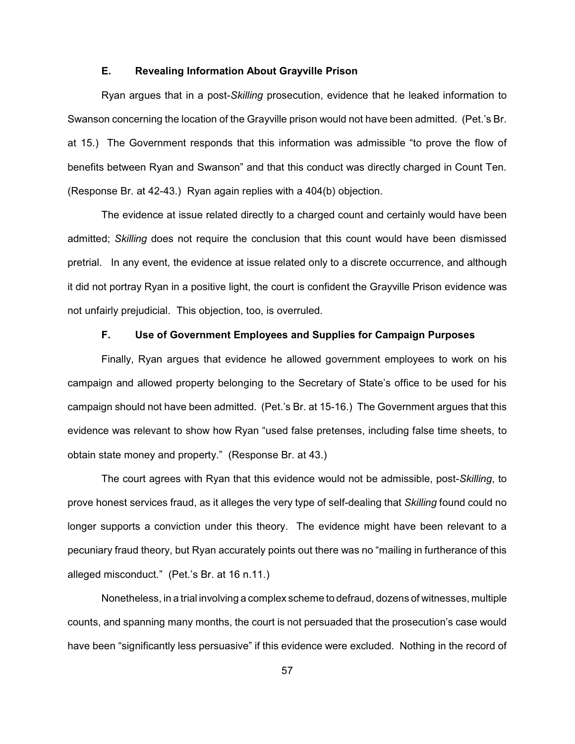#### **E. Revealing Information About Grayville Prison**

Ryan argues that in a post-*Skilling* prosecution, evidence that he leaked information to Swanson concerning the location of the Grayville prison would not have been admitted. (Pet.'s Br. at 15.) The Government responds that this information was admissible "to prove the flow of benefits between Ryan and Swanson" and that this conduct was directly charged in Count Ten. (Response Br. at 42-43.) Ryan again replies with a 404(b) objection.

The evidence at issue related directly to a charged count and certainly would have been admitted; *Skilling* does not require the conclusion that this count would have been dismissed pretrial. In any event, the evidence at issue related only to a discrete occurrence, and although it did not portray Ryan in a positive light, the court is confident the Grayville Prison evidence was not unfairly prejudicial. This objection, too, is overruled.

#### **F. Use of Government Employees and Supplies for Campaign Purposes**

Finally, Ryan argues that evidence he allowed government employees to work on his campaign and allowed property belonging to the Secretary of State's office to be used for his campaign should not have been admitted. (Pet.'s Br. at 15-16.) The Government argues that this evidence was relevant to show how Ryan "used false pretenses, including false time sheets, to obtain state money and property." (Response Br. at 43.)

The court agrees with Ryan that this evidence would not be admissible, post-*Skilling*, to prove honest services fraud, as it alleges the very type of self-dealing that *Skilling* found could no longer supports a conviction under this theory. The evidence might have been relevant to a pecuniary fraud theory, but Ryan accurately points out there was no "mailing in furtherance of this alleged misconduct." (Pet.'s Br. at 16 n.11.)

Nonetheless, in a trial involving a complex scheme to defraud, dozens of witnesses, multiple counts, and spanning many months, the court is not persuaded that the prosecution's case would have been "significantly less persuasive" if this evidence were excluded. Nothing in the record of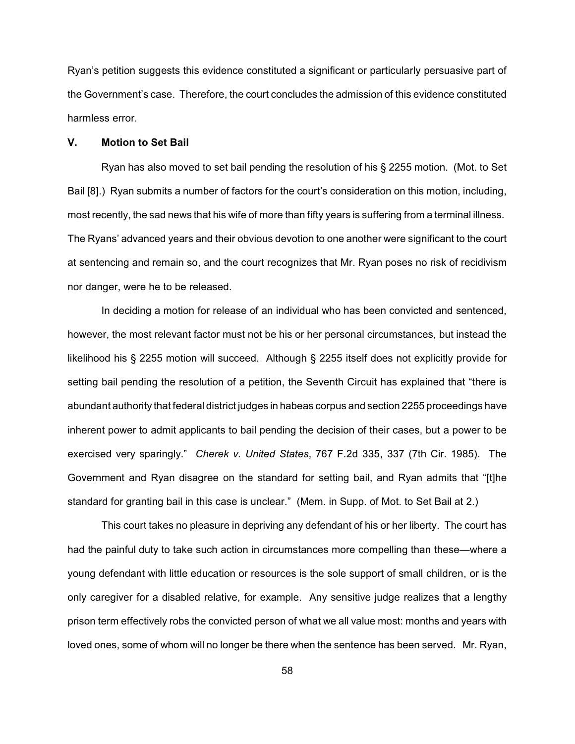Ryan's petition suggests this evidence constituted a significant or particularly persuasive part of the Government's case. Therefore, the court concludes the admission of this evidence constituted harmless error.

### **V. Motion to Set Bail**

Ryan has also moved to set bail pending the resolution of his § 2255 motion. (Mot. to Set Bail [8].) Ryan submits a number of factors for the court's consideration on this motion, including, most recently, the sad news that his wife of more than fifty years is suffering from a terminal illness. The Ryans' advanced years and their obvious devotion to one another were significant to the court at sentencing and remain so, and the court recognizes that Mr. Ryan poses no risk of recidivism nor danger, were he to be released.

In deciding a motion for release of an individual who has been convicted and sentenced, however, the most relevant factor must not be his or her personal circumstances, but instead the likelihood his § 2255 motion will succeed. Although § 2255 itself does not explicitly provide for setting bail pending the resolution of a petition, the Seventh Circuit has explained that "there is abundant authority that federal district judges in habeas corpus and section 2255 proceedings have inherent power to admit applicants to bail pending the decision of their cases, but a power to be exercised very sparingly." *Cherek v. United States*, 767 F.2d 335, 337 (7th Cir. 1985). The Government and Ryan disagree on the standard for setting bail, and Ryan admits that "[t]he standard for granting bail in this case is unclear." (Mem. in Supp. of Mot. to Set Bail at 2.)

This court takes no pleasure in depriving any defendant of his or her liberty. The court has had the painful duty to take such action in circumstances more compelling than these—where a young defendant with little education or resources is the sole support of small children, or is the only caregiver for a disabled relative, for example. Any sensitive judge realizes that a lengthy prison term effectively robs the convicted person of what we all value most: months and years with loved ones, some of whom will no longer be there when the sentence has been served. Mr. Ryan,